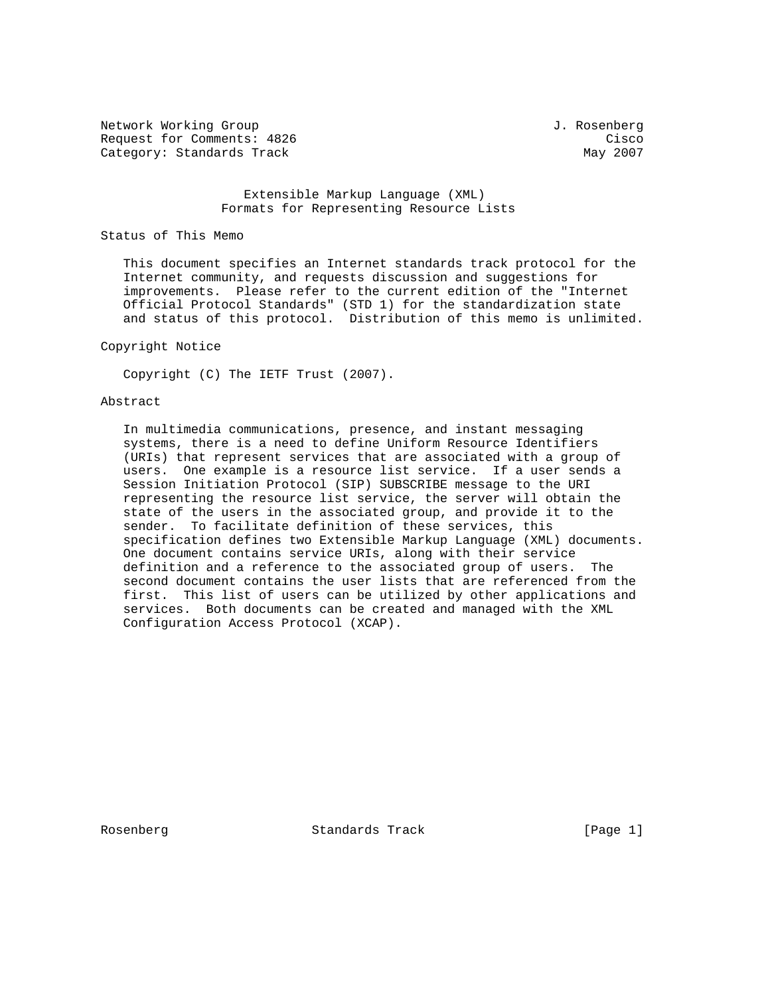Network Working Group and Communications of the Methods of American State of Tensors of Tensors and Tensors of T Request for Comments: 4826 Cisco Category: Standards Track May 2007

#### Extensible Markup Language (XML) Formats for Representing Resource Lists

#### Status of This Memo

 This document specifies an Internet standards track protocol for the Internet community, and requests discussion and suggestions for improvements. Please refer to the current edition of the "Internet Official Protocol Standards" (STD 1) for the standardization state and status of this protocol. Distribution of this memo is unlimited.

### Copyright Notice

Copyright (C) The IETF Trust (2007).

### Abstract

 In multimedia communications, presence, and instant messaging systems, there is a need to define Uniform Resource Identifiers (URIs) that represent services that are associated with a group of users. One example is a resource list service. If a user sends a Session Initiation Protocol (SIP) SUBSCRIBE message to the URI representing the resource list service, the server will obtain the state of the users in the associated group, and provide it to the sender. To facilitate definition of these services, this specification defines two Extensible Markup Language (XML) documents. One document contains service URIs, along with their service definition and a reference to the associated group of users. The second document contains the user lists that are referenced from the first. This list of users can be utilized by other applications and services. Both documents can be created and managed with the XML Configuration Access Protocol (XCAP).

Rosenberg Standards Track [Page 1]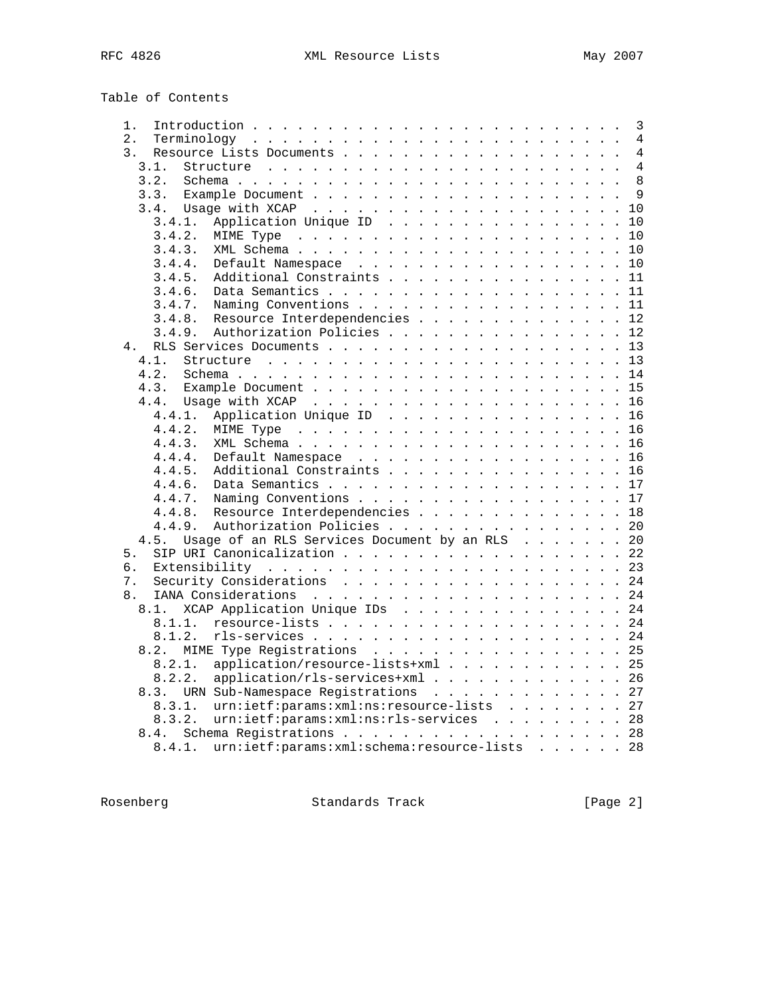| Table of Contents |  |
|-------------------|--|
|-------------------|--|

| 1.     |                                                |  |  | 3              |
|--------|------------------------------------------------|--|--|----------------|
| 2.     |                                                |  |  | 4              |
| 3.     |                                                |  |  | 4              |
| 3.1.   |                                                |  |  | $\overline{4}$ |
| 3.2.   |                                                |  |  | 8              |
| 3.3.   |                                                |  |  | 9              |
|        |                                                |  |  | 10             |
| 3.4.1. | Application Unique ID                          |  |  | 10             |
| 3.4.2. |                                                |  |  | 10             |
|        |                                                |  |  |                |
| 3.4.3. |                                                |  |  | 10             |
| 3.4.4. | Default Namespace                              |  |  | 10             |
| 3.4.5. | Additional Constraints                         |  |  | 11             |
| 3.4.6. |                                                |  |  | 11             |
| 3.4.7. | Naming Conventions                             |  |  | 11             |
| 3.4.8. | Resource Interdependencies 12                  |  |  |                |
| 3.4.9. | Authorization Policies 12                      |  |  |                |
| 4.     |                                                |  |  | 13             |
| 4.1.   |                                                |  |  | 13             |
| 4.2.   |                                                |  |  |                |
| 4.3.   |                                                |  |  | 15             |
| 4.4.   |                                                |  |  | 16             |
| 4.4.1. | Application Unique ID                          |  |  | 16             |
| 4.4.2. |                                                |  |  | 16             |
| 4.4.3. |                                                |  |  | 16             |
| 4.4.4. | Default Namespace                              |  |  | 16             |
| 4.4.5. | Additional Constraints                         |  |  | 16             |
| 4.4.6. |                                                |  |  |                |
|        |                                                |  |  |                |
| 4.4.7. | Naming Conventions                             |  |  | 17             |
| 4.4.8. | Resource Interdependencies                     |  |  | 18             |
| 4.4.9. | Authorization Policies                         |  |  | 20             |
| 4.5.   | Usage of an RLS Services Document by an RLS    |  |  | 20             |
| 5.     | SIP URI Canonicalization 22                    |  |  |                |
| б.     |                                                |  |  | 23             |
| 7.     |                                                |  |  | 24             |
| 8.     |                                                |  |  |                |
| 8.1.   | XCAP Application Unique IDs                    |  |  | 24             |
| 8.1.1. |                                                |  |  | 24             |
| 8.1.2. |                                                |  |  | 24             |
| 8.2.   | MIME Type Registrations                        |  |  | 25             |
| 8.2.1. | application/resource-lists+xml                 |  |  | 25             |
| 8.2.2. | application/rls-services+xml                   |  |  | 26             |
|        | 8.3. URN Sub-Namespace Registrations 27        |  |  |                |
| 8.3.1. | urn:ietf:params:xml:ns:resource-lists 27       |  |  |                |
| 8.3.2. | $urn: i \in f : params: xml: ns: rls-services$ |  |  | 28             |
|        |                                                |  |  |                |
| 8.4.   |                                                |  |  | 28             |
| 8.4.1. | urn:ietf:params:xml:schema:resource-lists 28   |  |  |                |

Rosenberg Standards Track [Page 2]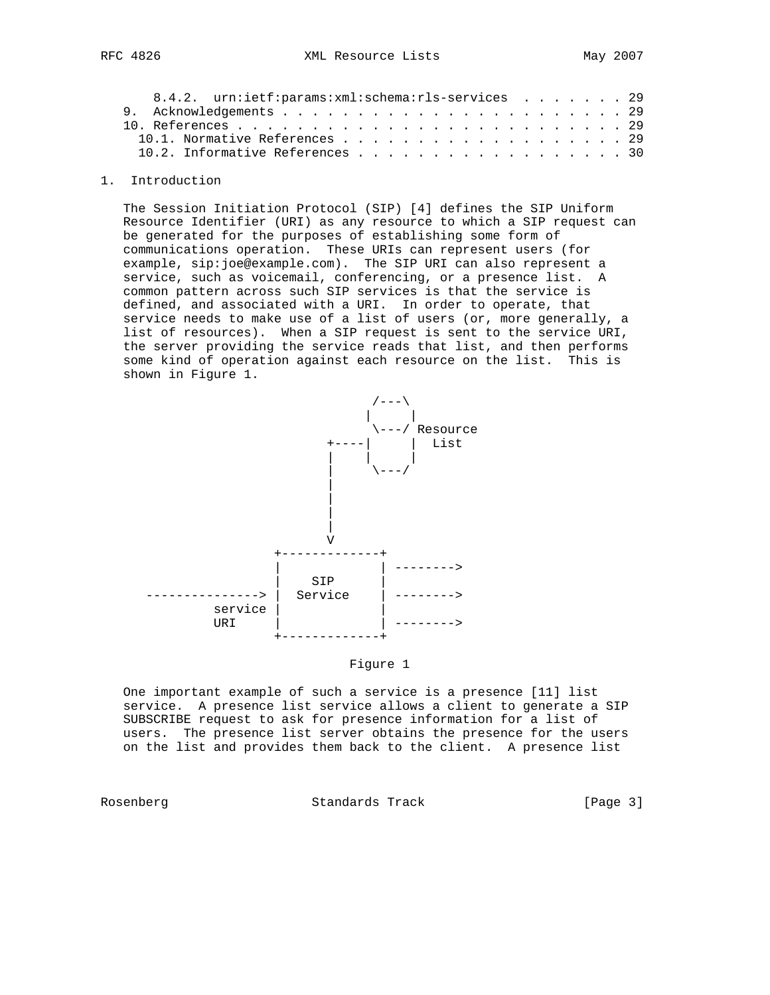| 8.4.2. urn:ietf:params:xml:schema:rls-services 29 |  |  |  |  |
|---------------------------------------------------|--|--|--|--|
|                                                   |  |  |  |  |
|                                                   |  |  |  |  |
|                                                   |  |  |  |  |
| 10.2. Informative References 30                   |  |  |  |  |
|                                                   |  |  |  |  |

### 1. Introduction

 The Session Initiation Protocol (SIP) [4] defines the SIP Uniform Resource Identifier (URI) as any resource to which a SIP request can be generated for the purposes of establishing some form of communications operation. These URIs can represent users (for example, sip:joe@example.com). The SIP URI can also represent a service, such as voicemail, conferencing, or a presence list. A common pattern across such SIP services is that the service is defined, and associated with a URI. In order to operate, that service needs to make use of a list of users (or, more generally, a list of resources). When a SIP request is sent to the service URI, the server providing the service reads that list, and then performs some kind of operation against each resource on the list. This is shown in Figure 1.



### Figure 1

 One important example of such a service is a presence [11] list service. A presence list service allows a client to generate a SIP SUBSCRIBE request to ask for presence information for a list of users. The presence list server obtains the presence for the users on the list and provides them back to the client. A presence list

Rosenberg **Standards Track** [Page 3]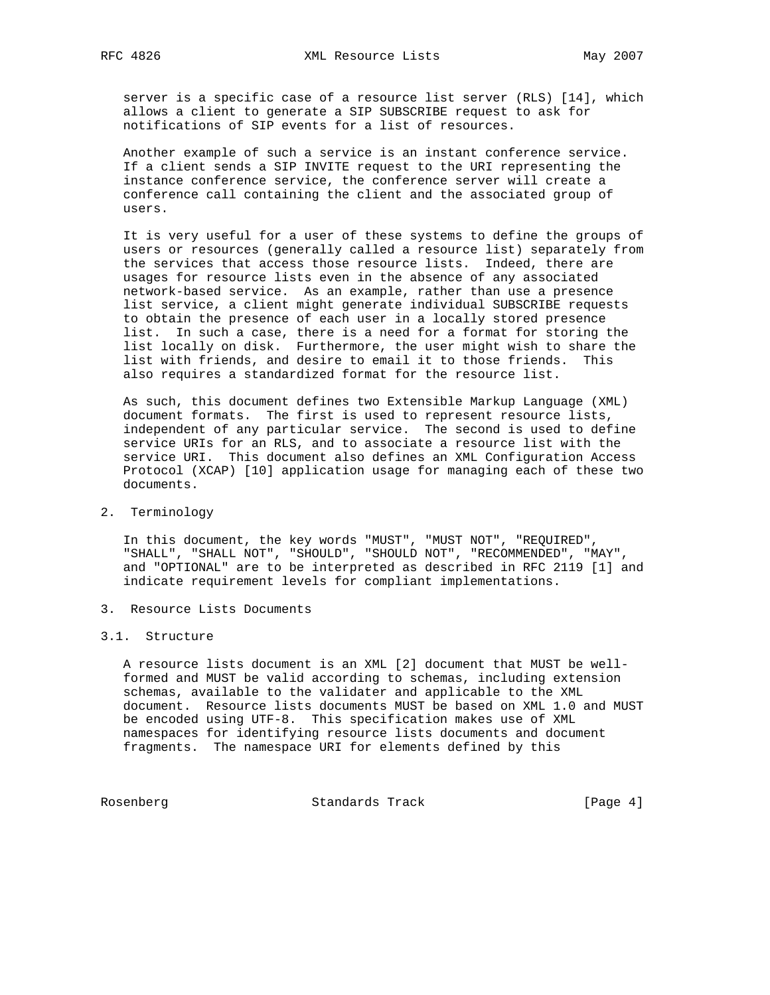server is a specific case of a resource list server (RLS) [14], which allows a client to generate a SIP SUBSCRIBE request to ask for notifications of SIP events for a list of resources.

 Another example of such a service is an instant conference service. If a client sends a SIP INVITE request to the URI representing the instance conference service, the conference server will create a conference call containing the client and the associated group of users.

 It is very useful for a user of these systems to define the groups of users or resources (generally called a resource list) separately from the services that access those resource lists. Indeed, there are usages for resource lists even in the absence of any associated network-based service. As an example, rather than use a presence list service, a client might generate individual SUBSCRIBE requests to obtain the presence of each user in a locally stored presence list. In such a case, there is a need for a format for storing the list locally on disk. Furthermore, the user might wish to share the list with friends, and desire to email it to those friends. This also requires a standardized format for the resource list.

 As such, this document defines two Extensible Markup Language (XML) document formats. The first is used to represent resource lists, independent of any particular service. The second is used to define service URIs for an RLS, and to associate a resource list with the service URI. This document also defines an XML Configuration Access Protocol (XCAP) [10] application usage for managing each of these two documents.

# 2. Terminology

 In this document, the key words "MUST", "MUST NOT", "REQUIRED", "SHALL", "SHALL NOT", "SHOULD", "SHOULD NOT", "RECOMMENDED", "MAY", and "OPTIONAL" are to be interpreted as described in RFC 2119 [1] and indicate requirement levels for compliant implementations.

3. Resource Lists Documents

### 3.1. Structure

 A resource lists document is an XML [2] document that MUST be well formed and MUST be valid according to schemas, including extension schemas, available to the validater and applicable to the XML document. Resource lists documents MUST be based on XML 1.0 and MUST be encoded using UTF-8. This specification makes use of XML namespaces for identifying resource lists documents and document fragments. The namespace URI for elements defined by this

Rosenberg Standards Track [Page 4]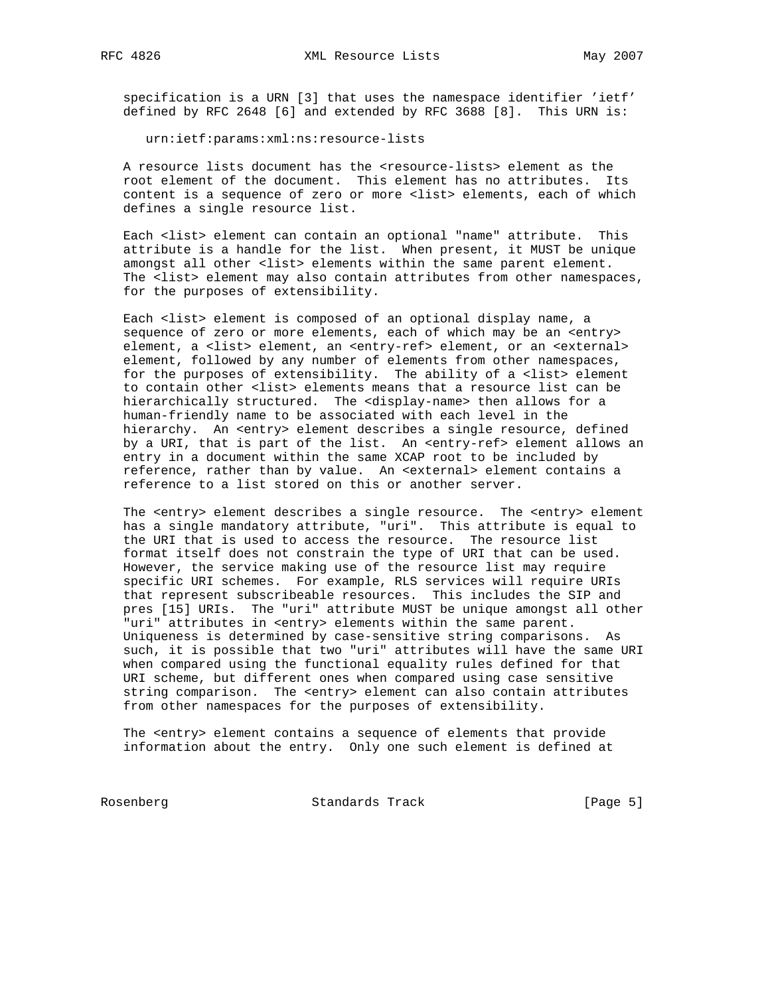specification is a URN [3] that uses the namespace identifier 'ietf' defined by RFC 2648 [6] and extended by RFC 3688 [8]. This URN is:

urn:ietf:params:xml:ns:resource-lists

 A resource lists document has the <resource-lists> element as the root element of the document. This element has no attributes. Its content is a sequence of zero or more <list> elements, each of which defines a single resource list.

 Each <list> element can contain an optional "name" attribute. This attribute is a handle for the list. When present, it MUST be unique amongst all other <list> elements within the same parent element. The <list> element may also contain attributes from other namespaces, for the purposes of extensibility.

 Each <list> element is composed of an optional display name, a sequence of zero or more elements, each of which may be an <entry> element, a <list> element, an <entry-ref> element, or an <external> element, followed by any number of elements from other namespaces, for the purposes of extensibility. The ability of a <list> element to contain other <list> elements means that a resource list can be hierarchically structured. The <display-name> then allows for a human-friendly name to be associated with each level in the hierarchy. An <entry> element describes a single resource, defined by a URI, that is part of the list. An <entry-ref> element allows an entry in a document within the same XCAP root to be included by reference, rather than by value. An <external> element contains a reference to a list stored on this or another server.

 The <entry> element describes a single resource. The <entry> element has a single mandatory attribute, "uri". This attribute is equal to the URI that is used to access the resource. The resource list format itself does not constrain the type of URI that can be used. However, the service making use of the resource list may require specific URI schemes. For example, RLS services will require URIs that represent subscribeable resources. This includes the SIP and pres [15] URIs. The "uri" attribute MUST be unique amongst all other "uri" attributes in <entry> elements within the same parent. Uniqueness is determined by case-sensitive string comparisons. As such, it is possible that two "uri" attributes will have the same URI when compared using the functional equality rules defined for that URI scheme, but different ones when compared using case sensitive string comparison. The <entry> element can also contain attributes from other namespaces for the purposes of extensibility.

 The <entry> element contains a sequence of elements that provide information about the entry. Only one such element is defined at

Rosenberg Standards Track [Page 5]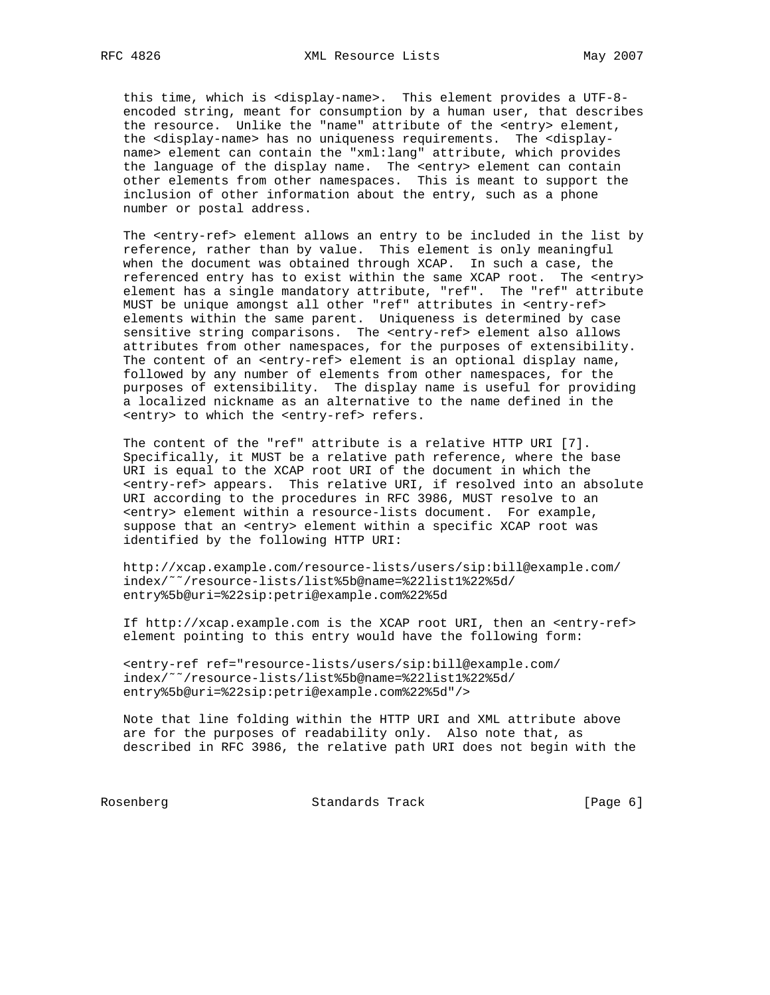this time, which is <display-name>. This element provides a UTF-8 encoded string, meant for consumption by a human user, that describes the resource. Unlike the "name" attribute of the <entry> element, the <display-name> has no uniqueness requirements. The <display name> element can contain the "xml:lang" attribute, which provides the language of the display name. The <entry> element can contain other elements from other namespaces. This is meant to support the inclusion of other information about the entry, such as a phone number or postal address.

 The <entry-ref> element allows an entry to be included in the list by reference, rather than by value. This element is only meaningful when the document was obtained through XCAP. In such a case, the referenced entry has to exist within the same XCAP root. The <entry> element has a single mandatory attribute, "ref". The "ref" attribute MUST be unique amongst all other "ref" attributes in <entry-ref> elements within the same parent. Uniqueness is determined by case sensitive string comparisons. The <entry-ref> element also allows attributes from other namespaces, for the purposes of extensibility. The content of an <entry-ref> element is an optional display name, followed by any number of elements from other namespaces, for the purposes of extensibility. The display name is useful for providing a localized nickname as an alternative to the name defined in the <entry> to which the <entry-ref> refers.

 The content of the "ref" attribute is a relative HTTP URI [7]. Specifically, it MUST be a relative path reference, where the base URI is equal to the XCAP root URI of the document in which the <entry-ref> appears. This relative URI, if resolved into an absolute URI according to the procedures in RFC 3986, MUST resolve to an <entry> element within a resource-lists document. For example, suppose that an <entry> element within a specific XCAP root was identified by the following HTTP URI:

 http://xcap.example.com/resource-lists/users/sip:bill@example.com/ index/˜˜/resource-lists/list%5b@name=%22list1%22%5d/ entry%5b@uri=%22sip:petri@example.com%22%5d

 If http://xcap.example.com is the XCAP root URI, then an <entry-ref> element pointing to this entry would have the following form:

 <entry-ref ref="resource-lists/users/sip:bill@example.com/ index/˜˜/resource-lists/list%5b@name=%22list1%22%5d/ entry%5b@uri=%22sip:petri@example.com%22%5d"/>

 Note that line folding within the HTTP URI and XML attribute above are for the purposes of readability only. Also note that, as described in RFC 3986, the relative path URI does not begin with the

Rosenberg Standards Track [Page 6]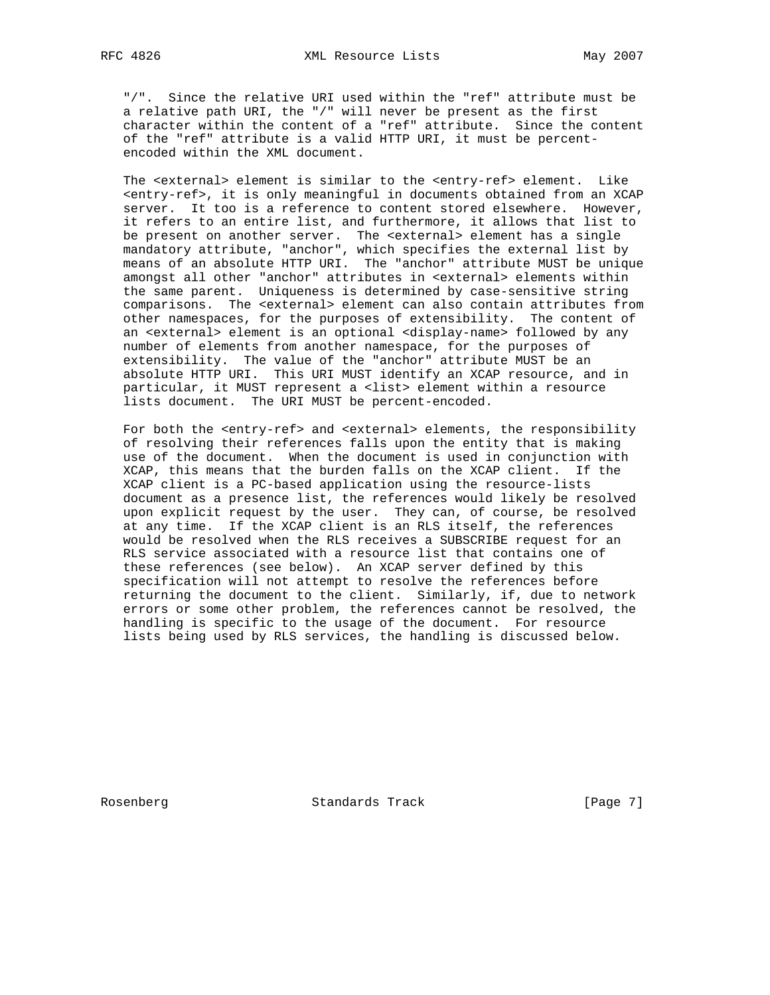"/". Since the relative URI used within the "ref" attribute must be a relative path URI, the "/" will never be present as the first character within the content of a "ref" attribute. Since the content of the "ref" attribute is a valid HTTP URI, it must be percent encoded within the XML document.

 The <external> element is similar to the <entry-ref> element. Like <entry-ref>, it is only meaningful in documents obtained from an XCAP server. It too is a reference to content stored elsewhere. However, it refers to an entire list, and furthermore, it allows that list to be present on another server. The <external> element has a single mandatory attribute, "anchor", which specifies the external list by means of an absolute HTTP URI. The "anchor" attribute MUST be unique amongst all other "anchor" attributes in <external> elements within the same parent. Uniqueness is determined by case-sensitive string comparisons. The <external> element can also contain attributes from other namespaces, for the purposes of extensibility. The content of an <external> element is an optional <display-name> followed by any number of elements from another namespace, for the purposes of extensibility. The value of the "anchor" attribute MUST be an absolute HTTP URI. This URI MUST identify an XCAP resource, and in particular, it MUST represent a <list> element within a resource lists document. The URI MUST be percent-encoded.

 For both the <entry-ref> and <external> elements, the responsibility of resolving their references falls upon the entity that is making use of the document. When the document is used in conjunction with XCAP, this means that the burden falls on the XCAP client. If the XCAP client is a PC-based application using the resource-lists document as a presence list, the references would likely be resolved upon explicit request by the user. They can, of course, be resolved at any time. If the XCAP client is an RLS itself, the references would be resolved when the RLS receives a SUBSCRIBE request for an RLS service associated with a resource list that contains one of these references (see below). An XCAP server defined by this specification will not attempt to resolve the references before returning the document to the client. Similarly, if, due to network errors or some other problem, the references cannot be resolved, the handling is specific to the usage of the document. For resource lists being used by RLS services, the handling is discussed below.

Rosenberg Standards Track [Page 7]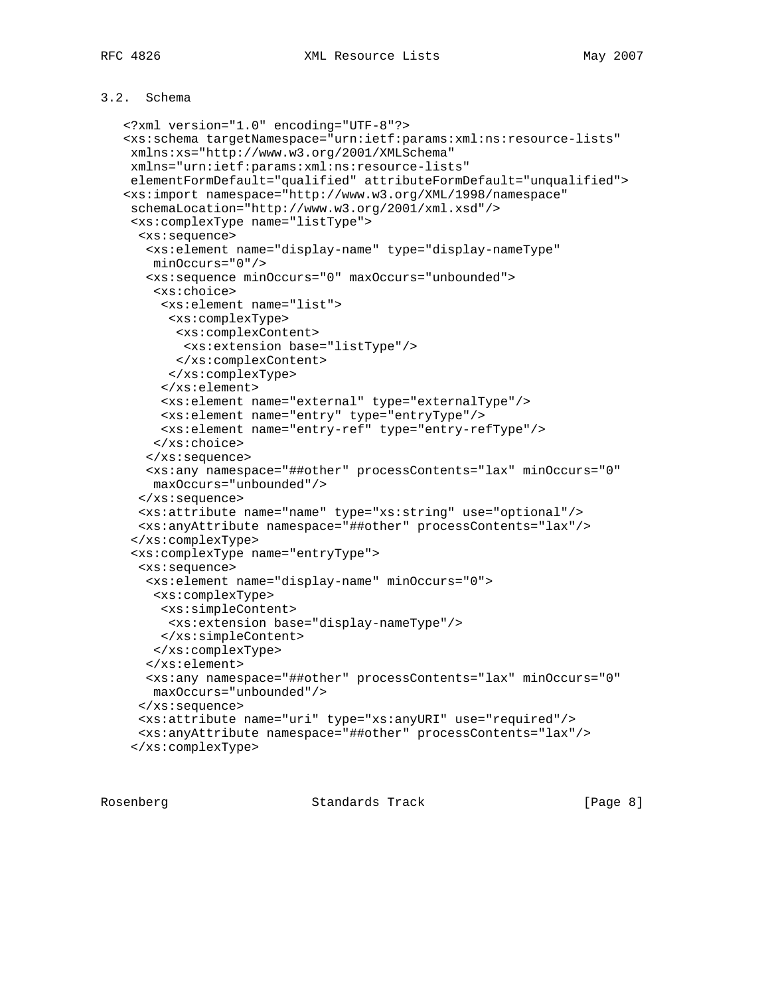# 3.2. Schema

```
 <?xml version="1.0" encoding="UTF-8"?>
<xs:schema targetNamespace="urn:ietf:params:xml:ns:resource-lists"
xmlns:xs="http://www.w3.org/2001/XMLSchema"
xmlns="urn:ietf:params:xml:ns:resource-lists"
elementFormDefault="qualified" attributeFormDefault="unqualified">
<xs:import namespace="http://www.w3.org/XML/1998/namespace"
 schemaLocation="http://www.w3.org/2001/xml.xsd"/>
 <xs:complexType name="listType">
  <xs:sequence>
   <xs:element name="display-name" type="display-nameType"
   minOccurs="0"/>
   <xs:sequence minOccurs="0" maxOccurs="unbounded">
    <xs:choice>
     <xs:element name="list">
      <xs:complexType>
      <xs:complexContent>
       <xs:extension base="listType"/>
      </xs:complexContent>
      </xs:complexType>
     </xs:element>
     <xs:element name="external" type="externalType"/>
     <xs:element name="entry" type="entryType"/>
     <xs:element name="entry-ref" type="entry-refType"/>
   </xs:choice>
   </xs:sequence>
   <xs:any namespace="##other" processContents="lax" minOccurs="0"
   maxOccurs="unbounded"/>
  </xs:sequence>
 <xs:attribute name="name" type="xs:string" use="optional"/>
 <xs:anyAttribute namespace="##other" processContents="lax"/>
 </xs:complexType>
 <xs:complexType name="entryType">
  <xs:sequence>
   <xs:element name="display-name" minOccurs="0">
    <xs:complexType>
    <xs:simpleContent>
      <xs:extension base="display-nameType"/>
    </xs:simpleContent>
   </xs:complexType>
   </xs:element>
   <xs:any namespace="##other" processContents="lax" minOccurs="0"
   maxOccurs="unbounded"/>
  </xs:sequence>
  <xs:attribute name="uri" type="xs:anyURI" use="required"/>
  <xs:anyAttribute namespace="##other" processContents="lax"/>
 </xs:complexType>
```
Rosenberg Standards Track [Page 8]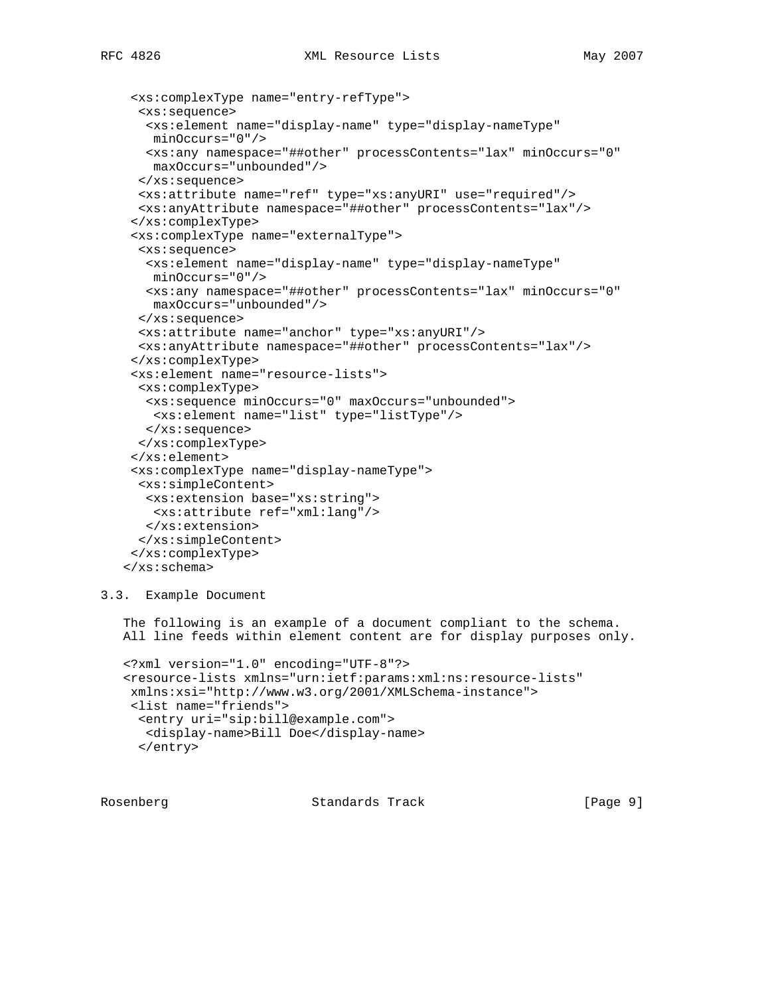```
 <xs:complexType name="entry-refType">
  <xs:sequence>
   <xs:element name="display-name" type="display-nameType"
   minOccurs="0"/>
  <xs:any namespace="##other" processContents="lax" minOccurs="0"
   maxOccurs="unbounded"/>
  </xs:sequence>
 <xs:attribute name="ref" type="xs:anyURI" use="required"/>
 <xs:anyAttribute namespace="##other" processContents="lax"/>
 </xs:complexType>
 <xs:complexType name="externalType">
  <xs:sequence>
   <xs:element name="display-name" type="display-nameType"
   minOccurs="0"/>
   <xs:any namespace="##other" processContents="lax" minOccurs="0"
   maxOccurs="unbounded"/>
  </xs:sequence>
 <xs:attribute name="anchor" type="xs:anyURI"/>
 <xs:anyAttribute namespace="##other" processContents="lax"/>
 </xs:complexType>
 <xs:element name="resource-lists">
 <xs:complexType>
  <xs:sequence minOccurs="0" maxOccurs="unbounded">
   <xs:element name="list" type="listType"/>
  </xs:sequence>
 </xs:complexType>
 </xs:element>
 <xs:complexType name="display-nameType">
 <xs:simpleContent>
  <xs:extension base="xs:string">
   <xs:attribute ref="xml:lang"/>
  </xs:extension>
  </xs:simpleContent>
 </xs:complexType>
</xs:schema>
```
## 3.3. Example Document

 The following is an example of a document compliant to the schema. All line feeds within element content are for display purposes only.

```
 <?xml version="1.0" encoding="UTF-8"?>
<resource-lists xmlns="urn:ietf:params:xml:ns:resource-lists"
xmlns:xsi="http://www.w3.org/2001/XMLSchema-instance">
<list name="friends">
 <entry uri="sip:bill@example.com">
  <display-name>Bill Doe</display-name>
  </entry>
```
Rosenberg Standards Track [Page 9]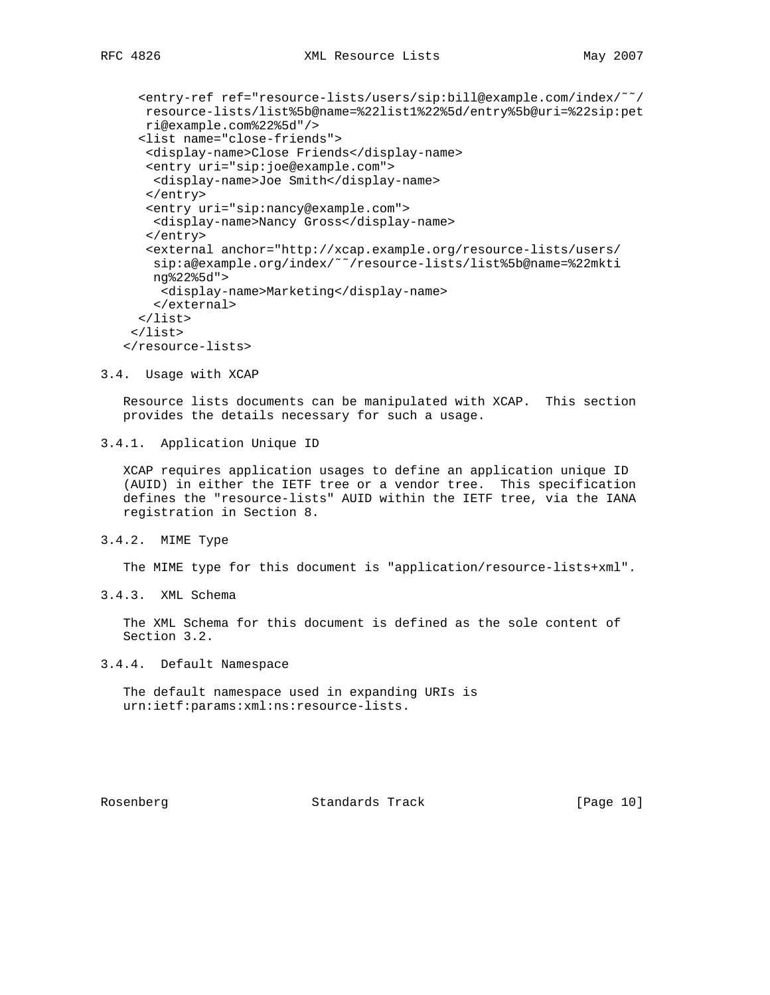<entry-ref ref="resource-lists/users/sip:bill@example.com/index/˜˜/ resource-lists/list%5b@name=%22list1%22%5d/entry%5b@uri=%22sip:pet ri@example.com%22%5d"/> <list name="close-friends"> <display-name>Close Friends</display-name> <entry uri="sip:joe@example.com"> <display-name>Joe Smith</display-name> </entry> <entry uri="sip:nancy@example.com"> <display-name>Nancy Gross</display-name> </entry> <external anchor="http://xcap.example.org/resource-lists/users/ sip:a@example.org/index/~~/resource-lists/list%5b@name=%22mkti ng%22%5d"> <display-name>Marketing</display-name> </external> </list> </list> </resource-lists>

3.4. Usage with XCAP

 Resource lists documents can be manipulated with XCAP. This section provides the details necessary for such a usage.

3.4.1. Application Unique ID

 XCAP requires application usages to define an application unique ID (AUID) in either the IETF tree or a vendor tree. This specification defines the "resource-lists" AUID within the IETF tree, via the IANA registration in Section 8.

3.4.2. MIME Type

The MIME type for this document is "application/resource-lists+xml".

3.4.3. XML Schema

 The XML Schema for this document is defined as the sole content of Section 3.2.

3.4.4. Default Namespace

 The default namespace used in expanding URIs is urn:ietf:params:xml:ns:resource-lists.

Rosenberg Standards Track [Page 10]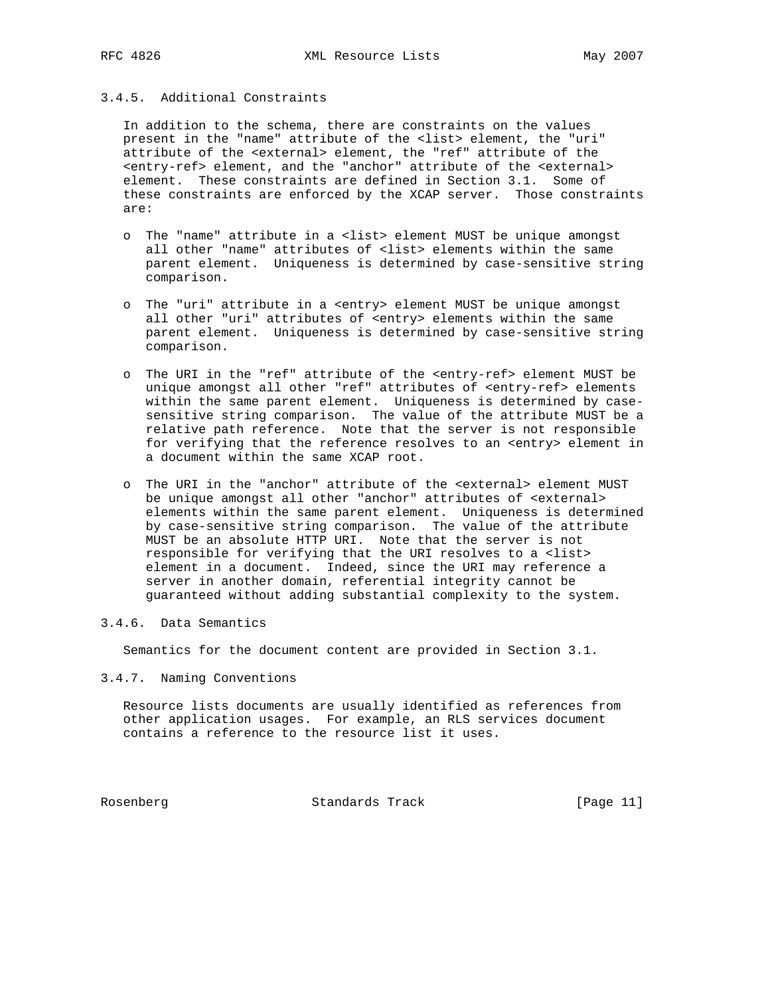## 3.4.5. Additional Constraints

 In addition to the schema, there are constraints on the values present in the "name" attribute of the <list> element, the "uri" attribute of the <external> element, the "ref" attribute of the <entry-ref> element, and the "anchor" attribute of the <external> element. These constraints are defined in Section 3.1. Some of these constraints are enforced by the XCAP server. Those constraints are:

- o The "name" attribute in a <list> element MUST be unique amongst all other "name" attributes of <list> elements within the same parent element. Uniqueness is determined by case-sensitive string comparison.
- o The "uri" attribute in a <entry> element MUST be unique amongst all other "uri" attributes of <entry> elements within the same parent element. Uniqueness is determined by case-sensitive string comparison.
- o The URI in the "ref" attribute of the <entry-ref> element MUST be unique amongst all other "ref" attributes of <entry-ref> elements within the same parent element. Uniqueness is determined by case sensitive string comparison. The value of the attribute MUST be a relative path reference. Note that the server is not responsible for verifying that the reference resolves to an <entry> element in a document within the same XCAP root.
- o The URI in the "anchor" attribute of the <external> element MUST be unique amongst all other "anchor" attributes of <external> elements within the same parent element. Uniqueness is determined by case-sensitive string comparison. The value of the attribute MUST be an absolute HTTP URI. Note that the server is not responsible for verifying that the URI resolves to a <list> element in a document. Indeed, since the URI may reference a server in another domain, referential integrity cannot be guaranteed without adding substantial complexity to the system.

## 3.4.6. Data Semantics

Semantics for the document content are provided in Section 3.1.

### 3.4.7. Naming Conventions

 Resource lists documents are usually identified as references from other application usages. For example, an RLS services document contains a reference to the resource list it uses.

Rosenberg Standards Track [Page 11]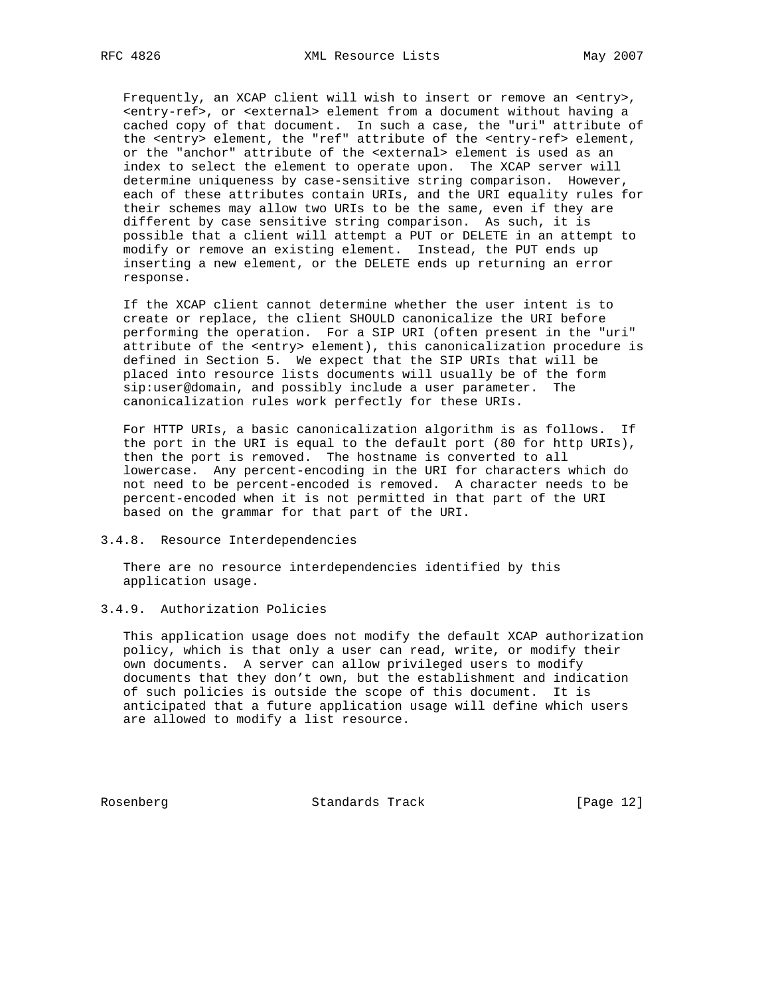Frequently, an XCAP client will wish to insert or remove an <entry>, <entry-ref>, or <external> element from a document without having a cached copy of that document. In such a case, the "uri" attribute of the <entry> element, the "ref" attribute of the <entry-ref> element, or the "anchor" attribute of the <external> element is used as an index to select the element to operate upon. The XCAP server will determine uniqueness by case-sensitive string comparison. However, each of these attributes contain URIs, and the URI equality rules for their schemes may allow two URIs to be the same, even if they are different by case sensitive string comparison. As such, it is possible that a client will attempt a PUT or DELETE in an attempt to modify or remove an existing element. Instead, the PUT ends up inserting a new element, or the DELETE ends up returning an error response.

 If the XCAP client cannot determine whether the user intent is to create or replace, the client SHOULD canonicalize the URI before performing the operation. For a SIP URI (often present in the "uri" attribute of the <entry> element), this canonicalization procedure is defined in Section 5. We expect that the SIP URIs that will be placed into resource lists documents will usually be of the form sip:user@domain, and possibly include a user parameter. The canonicalization rules work perfectly for these URIs.

 For HTTP URIs, a basic canonicalization algorithm is as follows. If the port in the URI is equal to the default port (80 for http URIs), then the port is removed. The hostname is converted to all lowercase. Any percent-encoding in the URI for characters which do not need to be percent-encoded is removed. A character needs to be percent-encoded when it is not permitted in that part of the URI based on the grammar for that part of the URI.

#### 3.4.8. Resource Interdependencies

 There are no resource interdependencies identified by this application usage.

### 3.4.9. Authorization Policies

 This application usage does not modify the default XCAP authorization policy, which is that only a user can read, write, or modify their own documents. A server can allow privileged users to modify documents that they don't own, but the establishment and indication of such policies is outside the scope of this document. It is anticipated that a future application usage will define which users are allowed to modify a list resource.

Rosenberg Standards Track [Page 12]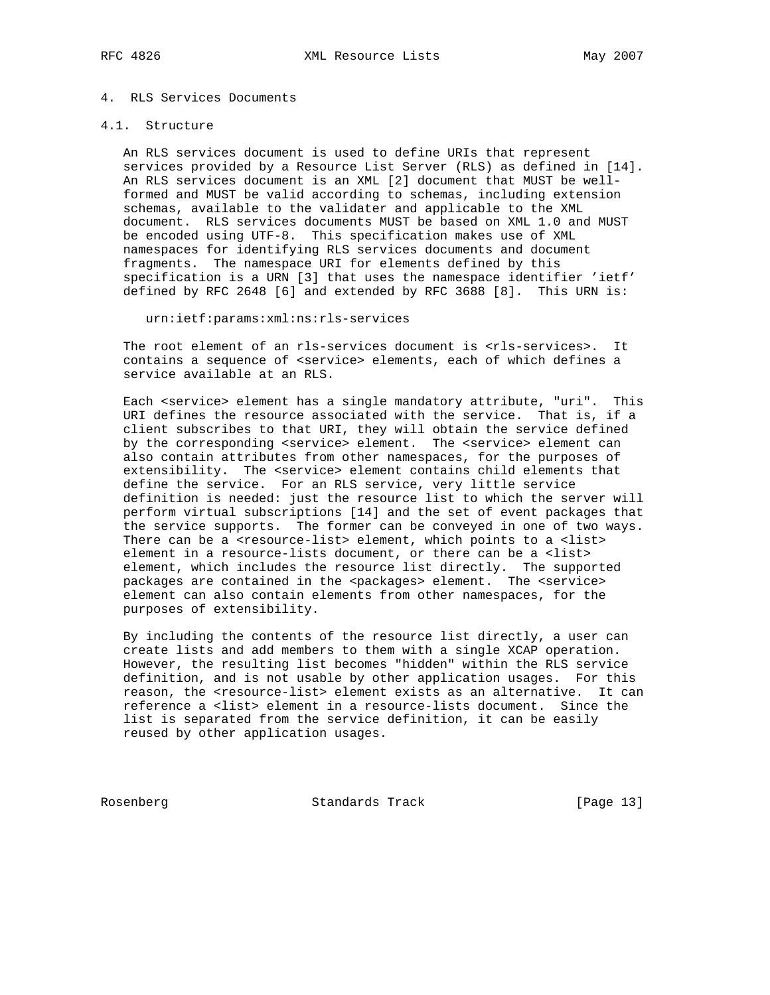#### 4. RLS Services Documents

### 4.1. Structure

 An RLS services document is used to define URIs that represent services provided by a Resource List Server (RLS) as defined in [14]. An RLS services document is an XML [2] document that MUST be well formed and MUST be valid according to schemas, including extension schemas, available to the validater and applicable to the XML document. RLS services documents MUST be based on XML 1.0 and MUST be encoded using UTF-8. This specification makes use of XML namespaces for identifying RLS services documents and document fragments. The namespace URI for elements defined by this specification is a URN [3] that uses the namespace identifier 'ietf' defined by RFC 2648 [6] and extended by RFC 3688 [8]. This URN is:

urn:ietf:params:xml:ns:rls-services

The root element of an rls-services document is <rls-services>. It contains a sequence of <service> elements, each of which defines a service available at an RLS.

Each <service> element has a single mandatory attribute, "uri". This URI defines the resource associated with the service. That is, if a client subscribes to that URI, they will obtain the service defined by the corresponding <service> element. The <service> element can also contain attributes from other namespaces, for the purposes of extensibility. The <service> element contains child elements that define the service. For an RLS service, very little service definition is needed: just the resource list to which the server will perform virtual subscriptions [14] and the set of event packages that the service supports. The former can be conveyed in one of two ways. There can be a <resource-list> element, which points to a <list> element in a resource-lists document, or there can be a <list> element, which includes the resource list directly. The supported packages are contained in the <packages> element. The <service> element can also contain elements from other namespaces, for the purposes of extensibility.

 By including the contents of the resource list directly, a user can create lists and add members to them with a single XCAP operation. However, the resulting list becomes "hidden" within the RLS service definition, and is not usable by other application usages. For this reason, the <resource-list> element exists as an alternative. It can reference a <list> element in a resource-lists document. Since the list is separated from the service definition, it can be easily reused by other application usages.

Rosenberg Standards Track [Page 13]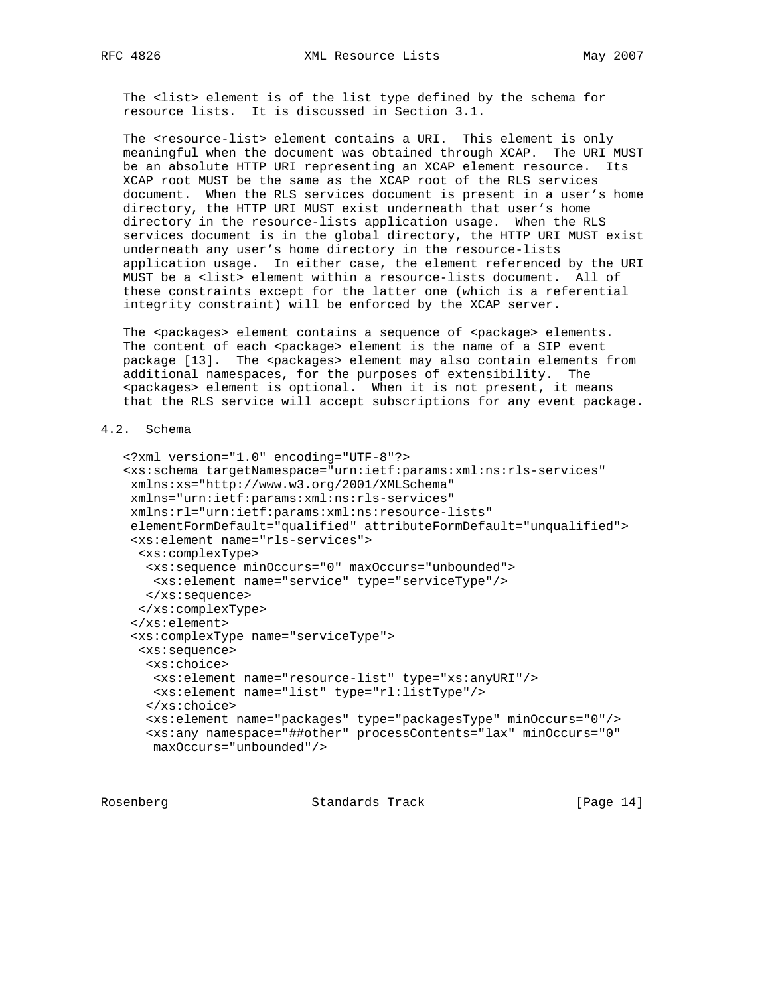The <list> element is of the list type defined by the schema for resource lists. It is discussed in Section 3.1.

The <resource-list> element contains a URI. This element is only meaningful when the document was obtained through XCAP. The URI MUST be an absolute HTTP URI representing an XCAP element resource. Its XCAP root MUST be the same as the XCAP root of the RLS services document. When the RLS services document is present in a user's home directory, the HTTP URI MUST exist underneath that user's home directory in the resource-lists application usage. When the RLS services document is in the global directory, the HTTP URI MUST exist underneath any user's home directory in the resource-lists application usage. In either case, the element referenced by the URI MUST be a <list> element within a resource-lists document. All of these constraints except for the latter one (which is a referential integrity constraint) will be enforced by the XCAP server.

The <packages> element contains a sequence of <package> elements. The content of each <package> element is the name of a SIP event package [13]. The <packages> element may also contain elements from additional namespaces, for the purposes of extensibility. The <packages> element is optional. When it is not present, it means that the RLS service will accept subscriptions for any event package.

## 4.2. Schema

```
 <?xml version="1.0" encoding="UTF-8"?>
<xs:schema targetNamespace="urn:ietf:params:xml:ns:rls-services"
xmlns:xs="http://www.w3.org/2001/XMLSchema"
xmlns="urn:ietf:params:xml:ns:rls-services"
xmlns:rl="urn:ietf:params:xml:ns:resource-lists"
elementFormDefault="qualified" attributeFormDefault="unqualified">
 <xs:element name="rls-services">
 <xs:complexType>
  <xs:sequence minOccurs="0" maxOccurs="unbounded">
   <xs:element name="service" type="serviceType"/>
  </xs:sequence>
 </xs:complexType>
 </xs:element>
 <xs:complexType name="serviceType">
  <xs:sequence>
  <xs:choice>
   <xs:element name="resource-list" type="xs:anyURI"/>
   <xs:element name="list" type="rl:listType"/>
   </xs:choice>
   <xs:element name="packages" type="packagesType" minOccurs="0"/>
   <xs:any namespace="##other" processContents="lax" minOccurs="0"
   maxOccurs="unbounded"/>
```
Rosenberg Standards Track [Page 14]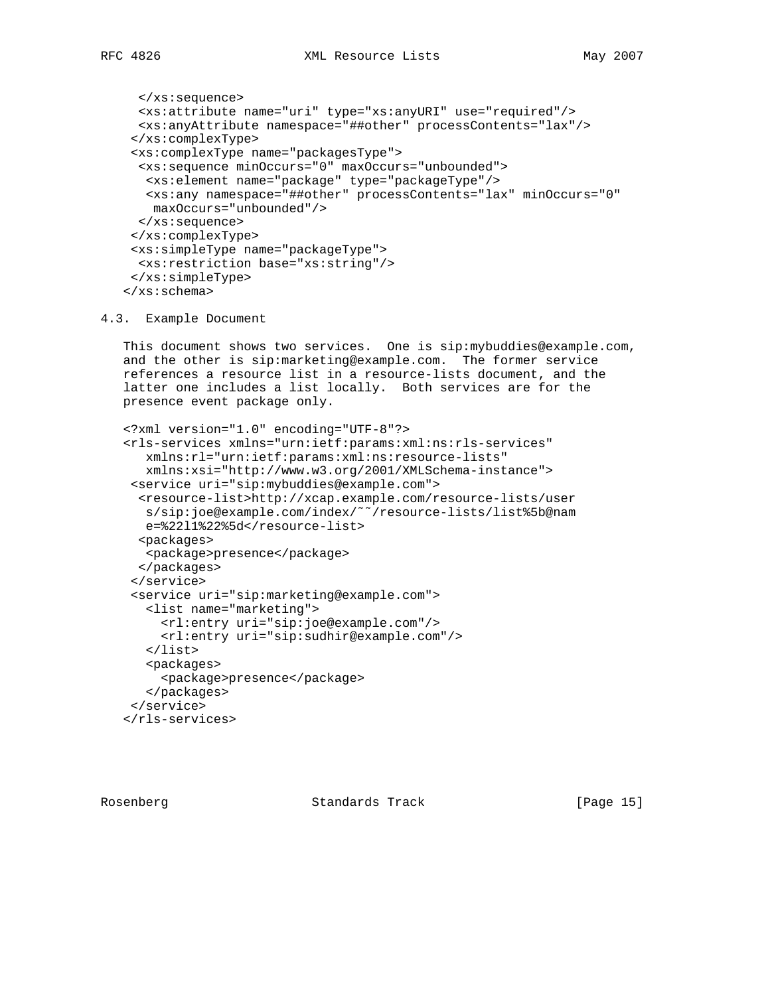```
 </xs:sequence>
  <xs:attribute name="uri" type="xs:anyURI" use="required"/>
 <xs:anyAttribute namespace="##other" processContents="lax"/>
 </xs:complexType>
 <xs:complexType name="packagesType">
  <xs:sequence minOccurs="0" maxOccurs="unbounded">
  <xs:element name="package" type="packageType"/>
  <xs:any namespace="##other" processContents="lax" minOccurs="0"
   maxOccurs="unbounded"/>
 </xs:sequence>
 </xs:complexType>
 <xs:simpleType name="packageType">
 <xs:restriction base="xs:string"/>
 </xs:simpleType>
</xs:schema>
```
### 4.3. Example Document

 This document shows two services. One is sip:mybuddies@example.com, and the other is sip:marketing@example.com. The former service references a resource list in a resource-lists document, and the latter one includes a list locally. Both services are for the presence event package only.

```
 <?xml version="1.0" encoding="UTF-8"?>
<rls-services xmlns="urn:ietf:params:xml:ns:rls-services"
   xmlns:rl="urn:ietf:params:xml:ns:resource-lists"
   xmlns:xsi="http://www.w3.org/2001/XMLSchema-instance">
 <service uri="sip:mybuddies@example.com">
  <resource-list>http://xcap.example.com/resource-lists/user
  s/sip:joe@example.com/index/˜˜/resource-lists/list%5b@nam
  e=%22l1%22%5d</resource-list>
  <packages>
  <package>presence</package>
 </packages>
 </service>
 <service uri="sip:marketing@example.com">
   <list name="marketing">
     <rl:entry uri="sip:joe@example.com"/>
     <rl:entry uri="sip:sudhir@example.com"/>
   </list>
   <packages>
     <package>presence</package>
   </packages>
 </service>
</rls-services>
```
Rosenberg Standards Track [Page 15]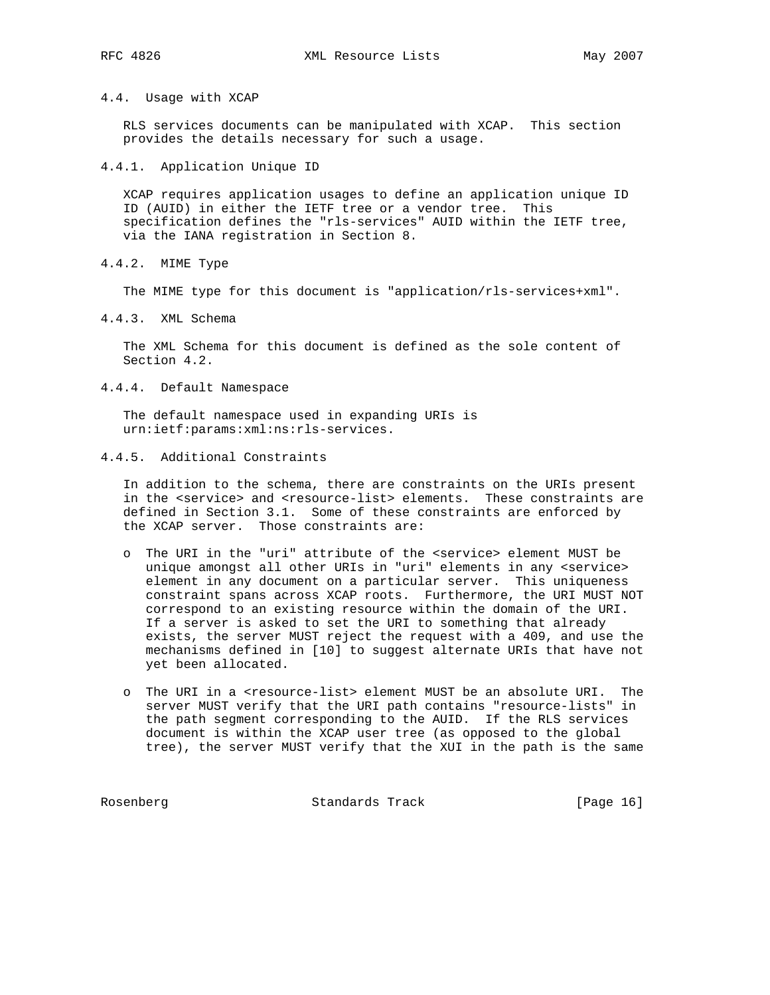### 4.4. Usage with XCAP

 RLS services documents can be manipulated with XCAP. This section provides the details necessary for such a usage.

4.4.1. Application Unique ID

 XCAP requires application usages to define an application unique ID ID (AUID) in either the IETF tree or a vendor tree. This specification defines the "rls-services" AUID within the IETF tree, via the IANA registration in Section 8.

4.4.2. MIME Type

The MIME type for this document is "application/rls-services+xml".

4.4.3. XML Schema

 The XML Schema for this document is defined as the sole content of Section 4.2.

4.4.4. Default Namespace

 The default namespace used in expanding URIs is urn:ietf:params:xml:ns:rls-services.

4.4.5. Additional Constraints

 In addition to the schema, there are constraints on the URIs present in the <service> and <resource-list> elements. These constraints are defined in Section 3.1. Some of these constraints are enforced by the XCAP server. Those constraints are:

- o The URI in the "uri" attribute of the <service> element MUST be unique amongst all other URIs in "uri" elements in any <service> element in any document on a particular server. This uniqueness constraint spans across XCAP roots. Furthermore, the URI MUST NOT correspond to an existing resource within the domain of the URI. If a server is asked to set the URI to something that already exists, the server MUST reject the request with a 409, and use the mechanisms defined in [10] to suggest alternate URIs that have not yet been allocated.
- o The URI in a <resource-list> element MUST be an absolute URI. The server MUST verify that the URI path contains "resource-lists" in the path segment corresponding to the AUID. If the RLS services document is within the XCAP user tree (as opposed to the global tree), the server MUST verify that the XUI in the path is the same

Rosenberg Standards Track [Page 16]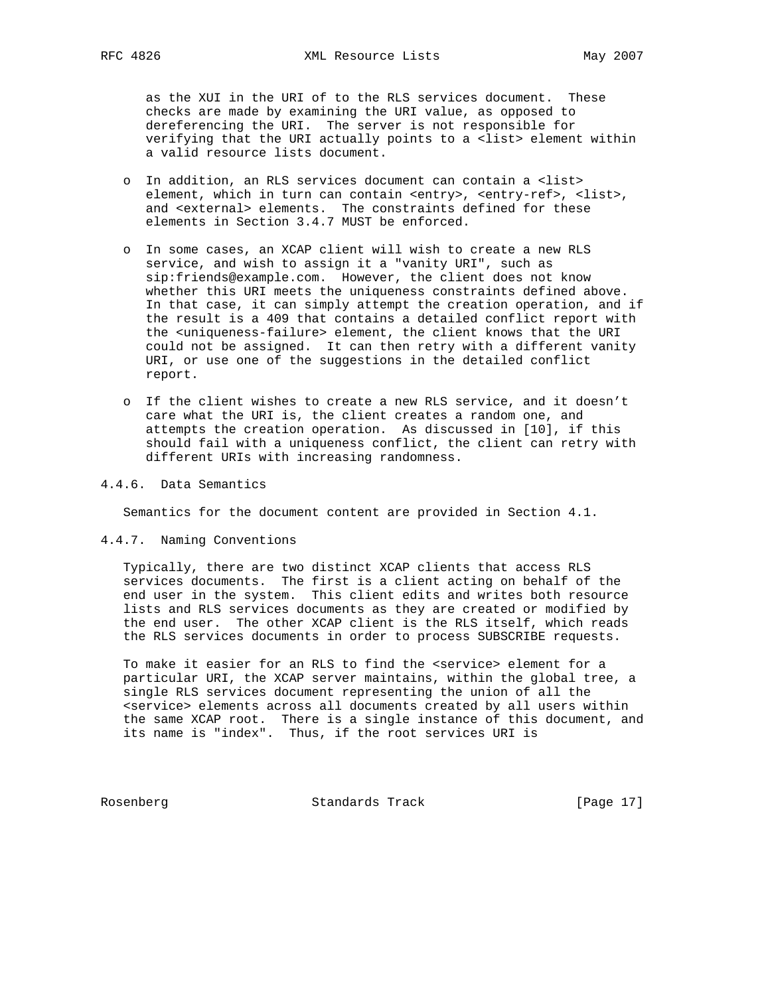as the XUI in the URI of to the RLS services document. These checks are made by examining the URI value, as opposed to dereferencing the URI. The server is not responsible for verifying that the URI actually points to a <list> element within a valid resource lists document.

- o In addition, an RLS services document can contain a <list> element, which in turn can contain <entry>, <entry-ref>, <list>, and <external> elements. The constraints defined for these elements in Section 3.4.7 MUST be enforced.
- o In some cases, an XCAP client will wish to create a new RLS service, and wish to assign it a "vanity URI", such as sip:friends@example.com. However, the client does not know whether this URI meets the uniqueness constraints defined above. In that case, it can simply attempt the creation operation, and if the result is a 409 that contains a detailed conflict report with the <uniqueness-failure> element, the client knows that the URI could not be assigned. It can then retry with a different vanity URI, or use one of the suggestions in the detailed conflict report.
- o If the client wishes to create a new RLS service, and it doesn't care what the URI is, the client creates a random one, and attempts the creation operation. As discussed in [10], if this should fail with a uniqueness conflict, the client can retry with different URIs with increasing randomness.

## 4.4.6. Data Semantics

Semantics for the document content are provided in Section 4.1.

4.4.7. Naming Conventions

 Typically, there are two distinct XCAP clients that access RLS services documents. The first is a client acting on behalf of the end user in the system. This client edits and writes both resource lists and RLS services documents as they are created or modified by the end user. The other XCAP client is the RLS itself, which reads the RLS services documents in order to process SUBSCRIBE requests.

To make it easier for an RLS to find the <service> element for a particular URI, the XCAP server maintains, within the global tree, a single RLS services document representing the union of all the <service> elements across all documents created by all users within the same XCAP root. There is a single instance of this document, and its name is "index". Thus, if the root services URI is

Rosenberg Standards Track [Page 17]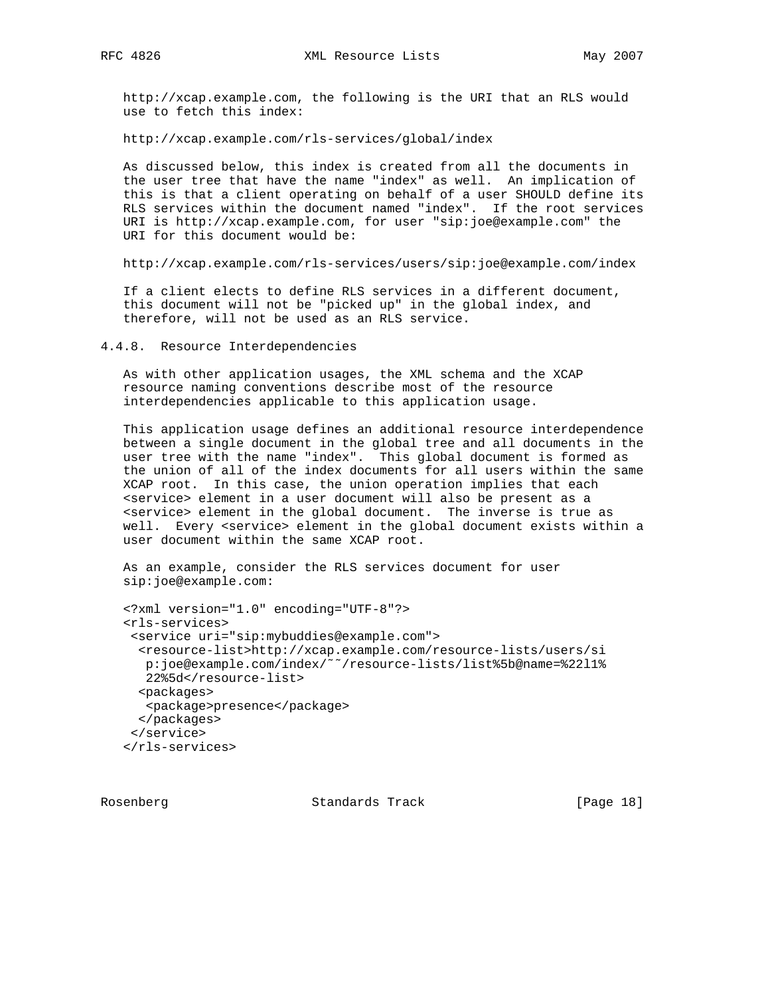http://xcap.example.com, the following is the URI that an RLS would use to fetch this index:

http://xcap.example.com/rls-services/global/index

 As discussed below, this index is created from all the documents in the user tree that have the name "index" as well. An implication of this is that a client operating on behalf of a user SHOULD define its RLS services within the document named "index". If the root services URI is http://xcap.example.com, for user "sip:joe@example.com" the URI for this document would be:

http://xcap.example.com/rls-services/users/sip:joe@example.com/index

 If a client elects to define RLS services in a different document, this document will not be "picked up" in the global index, and therefore, will not be used as an RLS service.

4.4.8. Resource Interdependencies

 As with other application usages, the XML schema and the XCAP resource naming conventions describe most of the resource interdependencies applicable to this application usage.

 This application usage defines an additional resource interdependence between a single document in the global tree and all documents in the user tree with the name "index". This global document is formed as the union of all of the index documents for all users within the same XCAP root. In this case, the union operation implies that each <service> element in a user document will also be present as a <service> element in the global document. The inverse is true as well. Every <service> element in the global document exists within a user document within the same XCAP root.

 As an example, consider the RLS services document for user sip:joe@example.com:

```
 <?xml version="1.0" encoding="UTF-8"?>
<rls-services>
<service uri="sip:mybuddies@example.com">
 <resource-list>http://xcap.example.com/resource-lists/users/si
  p:joe@example.com/index/˜˜/resource-lists/list%5b@name=%22l1%
  22%5d</resource-list>
 <packages>
  <package>presence</package>
 </packages>
</service>
</rls-services>
```
Rosenberg Standards Track [Page 18]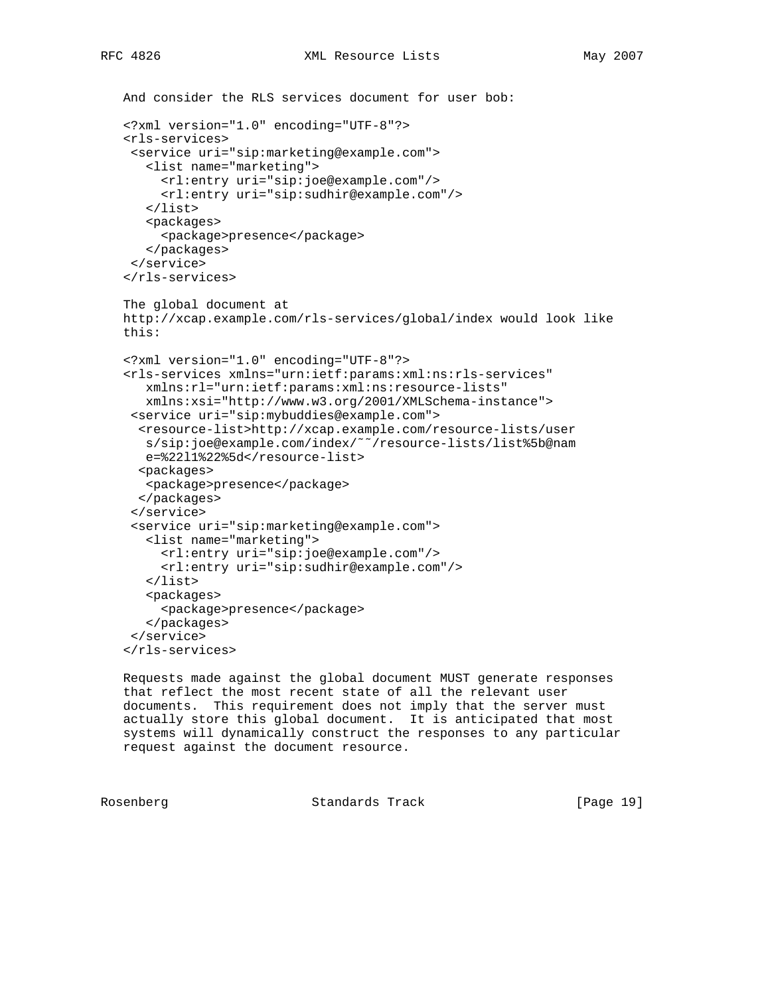```
 And consider the RLS services document for user bob:
<?xml version="1.0" encoding="UTF-8"?>
<rls-services>
 <service uri="sip:marketing@example.com">
   <list name="marketing">
     <rl:entry uri="sip:joe@example.com"/>
     <rl:entry uri="sip:sudhir@example.com"/>
   </list>
   <packages>
     <package>presence</package>
   </packages>
 </service>
</rls-services>
The global document at
http://xcap.example.com/rls-services/global/index would look like
this:
<?xml version="1.0" encoding="UTF-8"?>
<rls-services xmlns="urn:ietf:params:xml:ns:rls-services"
   xmlns:rl="urn:ietf:params:xml:ns:resource-lists"
   xmlns:xsi="http://www.w3.org/2001/XMLSchema-instance">
 <service uri="sip:mybuddies@example.com">
  <resource-list>http://xcap.example.com/resource-lists/user
   s/sip:joe@example.com/index/˜˜/resource-lists/list%5b@nam
   e=%22l1%22%5d</resource-list>
  <packages>
  <package>presence</package>
  </packages>
 </service>
 <service uri="sip:marketing@example.com">
   <list name="marketing">
     <rl:entry uri="sip:joe@example.com"/>
     <rl:entry uri="sip:sudhir@example.com"/>
   </list>
   <packages>
     <package>presence</package>
   </packages>
 </service>
</rls-services>
```
 Requests made against the global document MUST generate responses that reflect the most recent state of all the relevant user documents. This requirement does not imply that the server must actually store this global document. It is anticipated that most systems will dynamically construct the responses to any particular request against the document resource.

Rosenberg **Standards Track** [Page 19]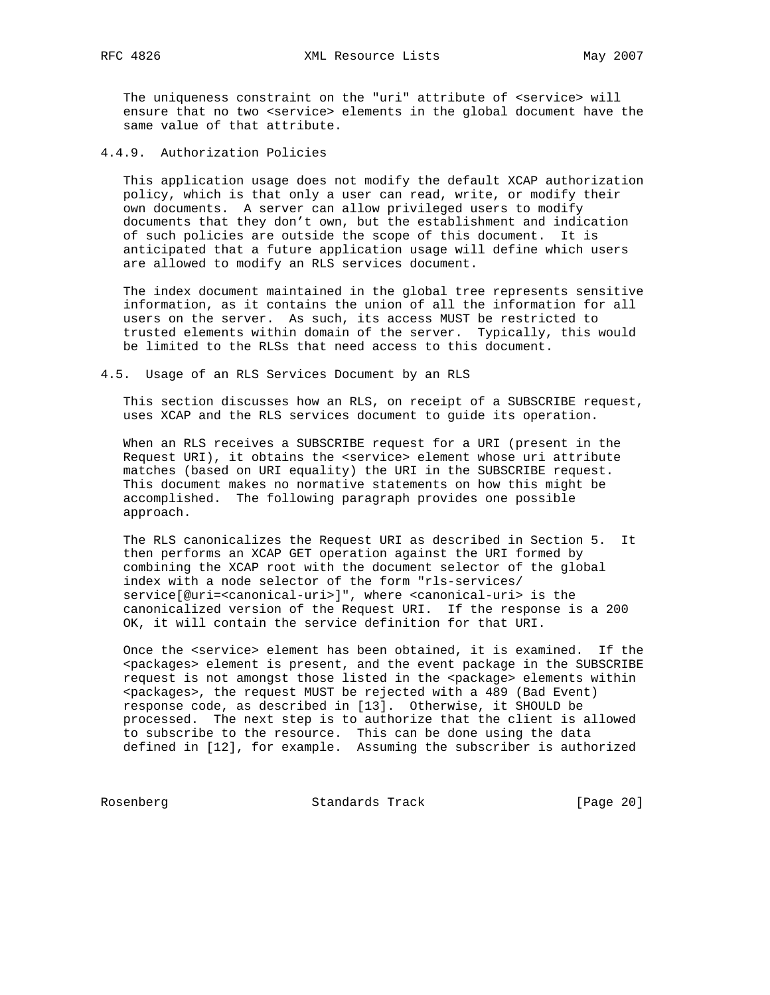The uniqueness constraint on the "uri" attribute of <service> will ensure that no two <service> elements in the global document have the same value of that attribute.

4.4.9. Authorization Policies

 This application usage does not modify the default XCAP authorization policy, which is that only a user can read, write, or modify their own documents. A server can allow privileged users to modify documents that they don't own, but the establishment and indication of such policies are outside the scope of this document. It is anticipated that a future application usage will define which users are allowed to modify an RLS services document.

 The index document maintained in the global tree represents sensitive information, as it contains the union of all the information for all users on the server. As such, its access MUST be restricted to trusted elements within domain of the server. Typically, this would be limited to the RLSs that need access to this document.

#### 4.5. Usage of an RLS Services Document by an RLS

 This section discusses how an RLS, on receipt of a SUBSCRIBE request, uses XCAP and the RLS services document to guide its operation.

 When an RLS receives a SUBSCRIBE request for a URI (present in the Request URI), it obtains the <service> element whose uri attribute matches (based on URI equality) the URI in the SUBSCRIBE request. This document makes no normative statements on how this might be accomplished. The following paragraph provides one possible approach.

 The RLS canonicalizes the Request URI as described in Section 5. It then performs an XCAP GET operation against the URI formed by combining the XCAP root with the document selector of the global index with a node selector of the form "rls-services/ service[@uri=<canonical-uri>]", where <canonical-uri> is the canonicalized version of the Request URI. If the response is a 200 OK, it will contain the service definition for that URI.

 Once the <service> element has been obtained, it is examined. If the <packages> element is present, and the event package in the SUBSCRIBE request is not amongst those listed in the <package> elements within <packages>, the request MUST be rejected with a 489 (Bad Event) response code, as described in [13]. Otherwise, it SHOULD be processed. The next step is to authorize that the client is allowed to subscribe to the resource. This can be done using the data defined in [12], for example. Assuming the subscriber is authorized

Rosenberg Standards Track [Page 20]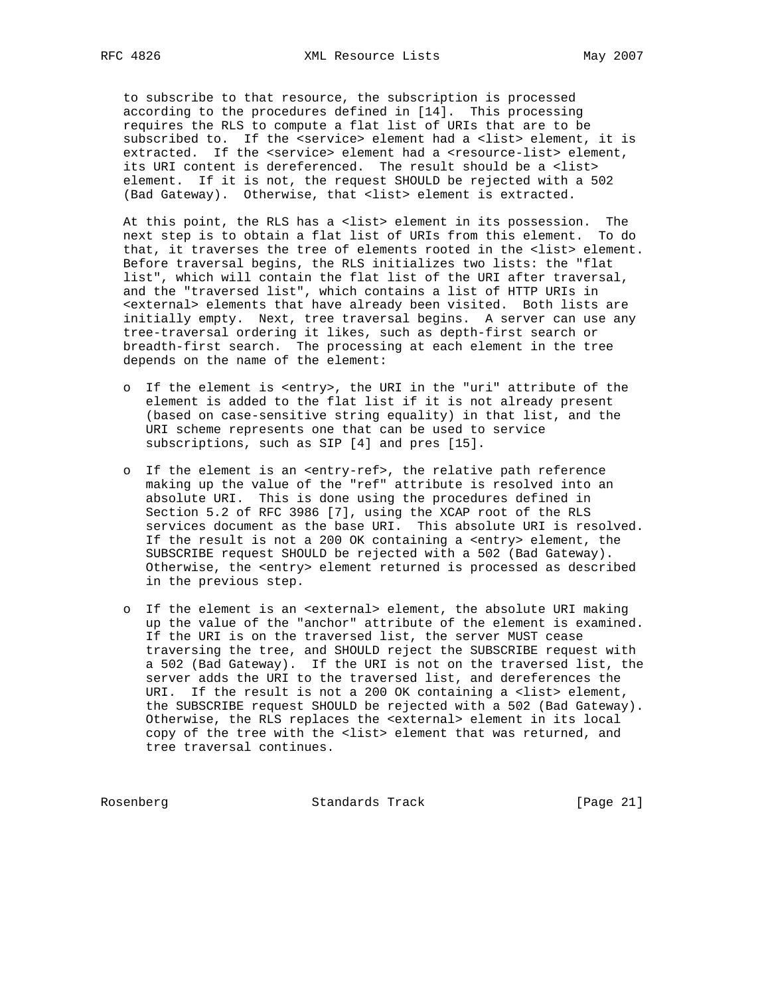to subscribe to that resource, the subscription is processed according to the procedures defined in [14]. This processing requires the RLS to compute a flat list of URIs that are to be subscribed to. If the <service> element had a <list> element, it is extracted. If the <service> element had a <resource-list> element, its URI content is dereferenced. The result should be a <list> element. If it is not, the request SHOULD be rejected with a 502 (Bad Gateway). Otherwise, that <list> element is extracted.

 At this point, the RLS has a <list> element in its possession. The next step is to obtain a flat list of URIs from this element. To do that, it traverses the tree of elements rooted in the <list> element. Before traversal begins, the RLS initializes two lists: the "flat list", which will contain the flat list of the URI after traversal, and the "traversed list", which contains a list of HTTP URIs in <external> elements that have already been visited. Both lists are initially empty. Next, tree traversal begins. A server can use any tree-traversal ordering it likes, such as depth-first search or breadth-first search. The processing at each element in the tree depends on the name of the element:

- o If the element is <entry>, the URI in the "uri" attribute of the element is added to the flat list if it is not already present (based on case-sensitive string equality) in that list, and the URI scheme represents one that can be used to service subscriptions, such as SIP [4] and pres [15].
- o If the element is an <entry-ref>, the relative path reference making up the value of the "ref" attribute is resolved into an absolute URI. This is done using the procedures defined in Section 5.2 of RFC 3986 [7], using the XCAP root of the RLS services document as the base URI. This absolute URI is resolved. If the result is not a 200 OK containing a <entry> element, the SUBSCRIBE request SHOULD be rejected with a 502 (Bad Gateway). Otherwise, the <entry> element returned is processed as described in the previous step.
- o If the element is an <external> element, the absolute URI making up the value of the "anchor" attribute of the element is examined. If the URI is on the traversed list, the server MUST cease traversing the tree, and SHOULD reject the SUBSCRIBE request with a 502 (Bad Gateway). If the URI is not on the traversed list, the server adds the URI to the traversed list, and dereferences the URI. If the result is not a 200 OK containing a <list> element, the SUBSCRIBE request SHOULD be rejected with a 502 (Bad Gateway). Otherwise, the RLS replaces the <external> element in its local copy of the tree with the <list> element that was returned, and tree traversal continues.

Rosenberg Standards Track [Page 21]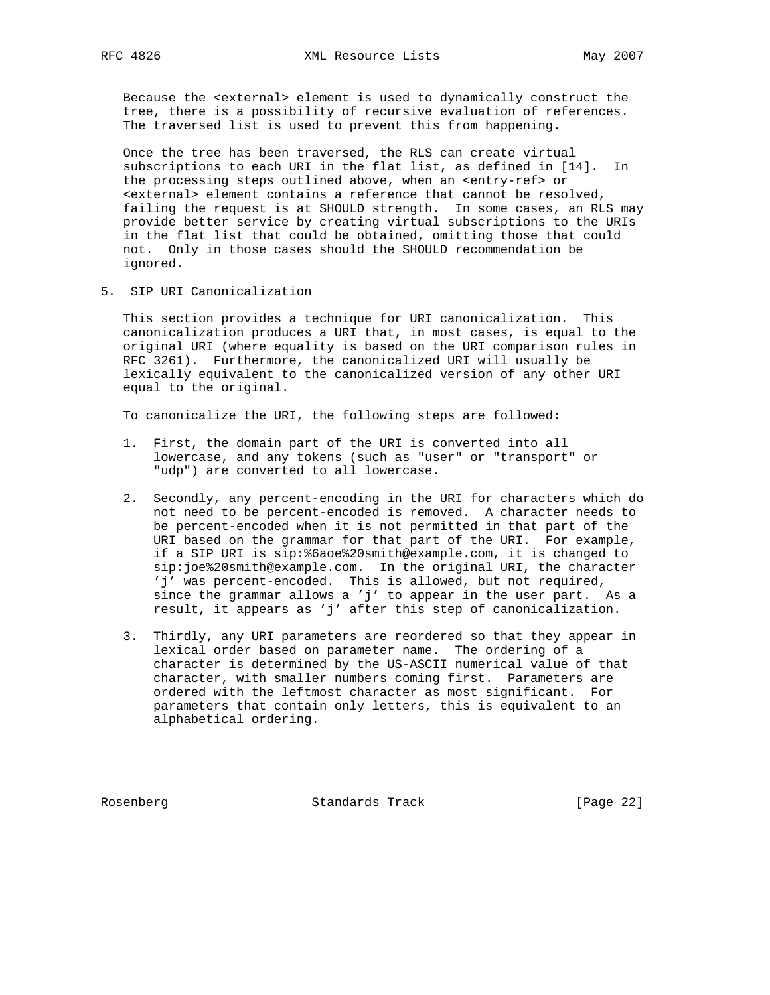Because the <external> element is used to dynamically construct the tree, there is a possibility of recursive evaluation of references. The traversed list is used to prevent this from happening.

 Once the tree has been traversed, the RLS can create virtual subscriptions to each URI in the flat list, as defined in [14]. In the processing steps outlined above, when an <entry-ref> or <external> element contains a reference that cannot be resolved, failing the request is at SHOULD strength. In some cases, an RLS may provide better service by creating virtual subscriptions to the URIs in the flat list that could be obtained, omitting those that could not. Only in those cases should the SHOULD recommendation be ignored.

5. SIP URI Canonicalization

 This section provides a technique for URI canonicalization. This canonicalization produces a URI that, in most cases, is equal to the original URI (where equality is based on the URI comparison rules in RFC 3261). Furthermore, the canonicalized URI will usually be lexically equivalent to the canonicalized version of any other URI equal to the original.

To canonicalize the URI, the following steps are followed:

- 1. First, the domain part of the URI is converted into all lowercase, and any tokens (such as "user" or "transport" or "udp") are converted to all lowercase.
- 2. Secondly, any percent-encoding in the URI for characters which do not need to be percent-encoded is removed. A character needs to be percent-encoded when it is not permitted in that part of the URI based on the grammar for that part of the URI. For example, if a SIP URI is sip:%6aoe%20smith@example.com, it is changed to sip:joe%20smith@example.com. In the original URI, the character 'j' was percent-encoded. This is allowed, but not required, since the grammar allows a 'j' to appear in the user part. As a result, it appears as 'j' after this step of canonicalization.
- 3. Thirdly, any URI parameters are reordered so that they appear in lexical order based on parameter name. The ordering of a character is determined by the US-ASCII numerical value of that character, with smaller numbers coming first. Parameters are ordered with the leftmost character as most significant. For parameters that contain only letters, this is equivalent to an alphabetical ordering.

Rosenberg Standards Track [Page 22]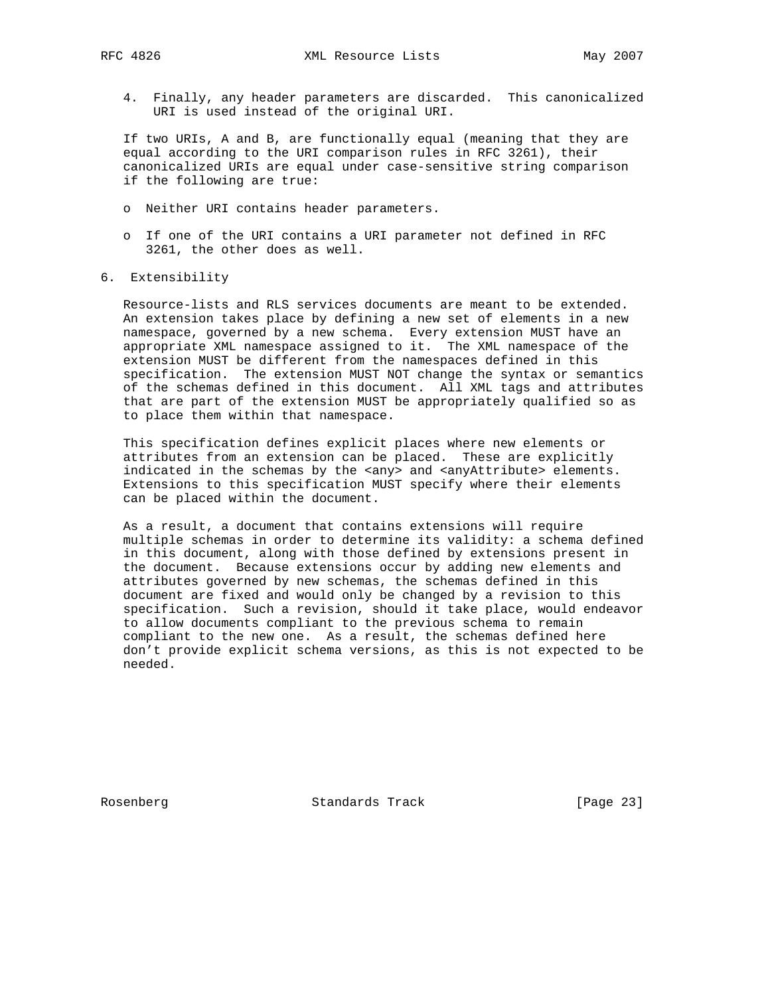4. Finally, any header parameters are discarded. This canonicalized URI is used instead of the original URI.

 If two URIs, A and B, are functionally equal (meaning that they are equal according to the URI comparison rules in RFC 3261), their canonicalized URIs are equal under case-sensitive string comparison if the following are true:

- o Neither URI contains header parameters.
- o If one of the URI contains a URI parameter not defined in RFC 3261, the other does as well.
- 6. Extensibility

 Resource-lists and RLS services documents are meant to be extended. An extension takes place by defining a new set of elements in a new namespace, governed by a new schema. Every extension MUST have an appropriate XML namespace assigned to it. The XML namespace of the extension MUST be different from the namespaces defined in this specification. The extension MUST NOT change the syntax or semantics of the schemas defined in this document. All XML tags and attributes that are part of the extension MUST be appropriately qualified so as to place them within that namespace.

 This specification defines explicit places where new elements or attributes from an extension can be placed. These are explicitly indicated in the schemas by the <any> and <anyAttribute> elements. Extensions to this specification MUST specify where their elements can be placed within the document.

 As a result, a document that contains extensions will require multiple schemas in order to determine its validity: a schema defined in this document, along with those defined by extensions present in the document. Because extensions occur by adding new elements and attributes governed by new schemas, the schemas defined in this document are fixed and would only be changed by a revision to this specification. Such a revision, should it take place, would endeavor to allow documents compliant to the previous schema to remain compliant to the new one. As a result, the schemas defined here don't provide explicit schema versions, as this is not expected to be needed.

Rosenberg Standards Track [Page 23]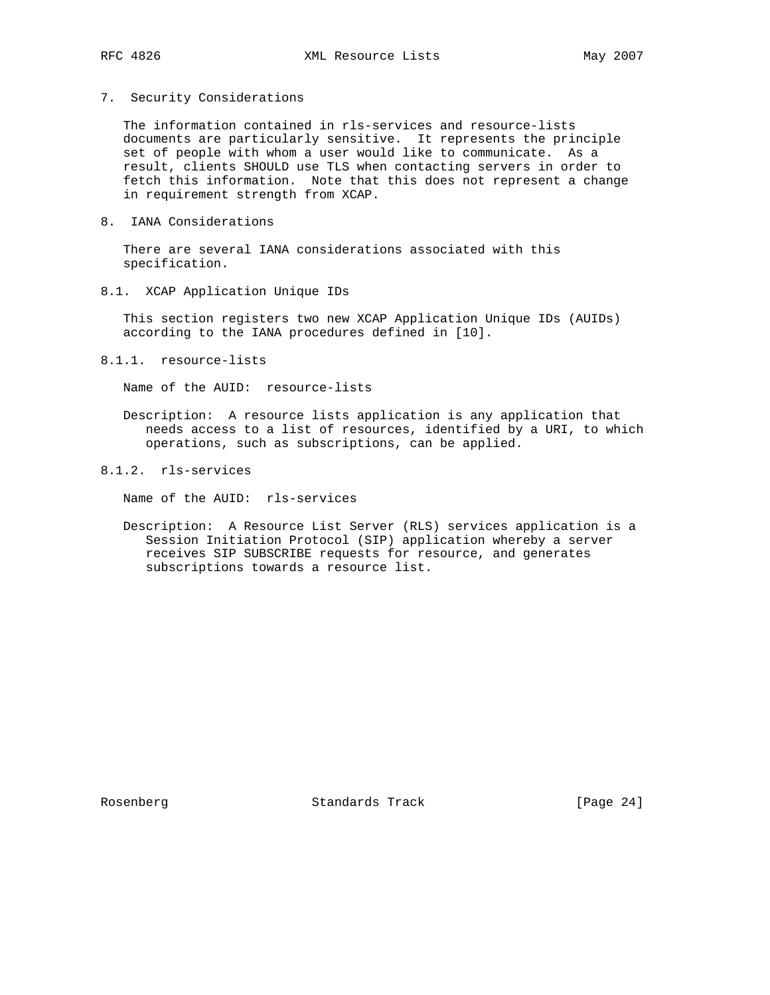7. Security Considerations

 The information contained in rls-services and resource-lists documents are particularly sensitive. It represents the principle set of people with whom a user would like to communicate. As a result, clients SHOULD use TLS when contacting servers in order to fetch this information. Note that this does not represent a change in requirement strength from XCAP.

8. IANA Considerations

 There are several IANA considerations associated with this specification.

8.1. XCAP Application Unique IDs

 This section registers two new XCAP Application Unique IDs (AUIDs) according to the IANA procedures defined in [10].

8.1.1. resource-lists

Name of the AUID: resource-lists

- Description: A resource lists application is any application that needs access to a list of resources, identified by a URI, to which operations, such as subscriptions, can be applied.
- 8.1.2. rls-services

Name of the AUID: rls-services

 Description: A Resource List Server (RLS) services application is a Session Initiation Protocol (SIP) application whereby a server receives SIP SUBSCRIBE requests for resource, and generates subscriptions towards a resource list.

Rosenberg Standards Track [Page 24]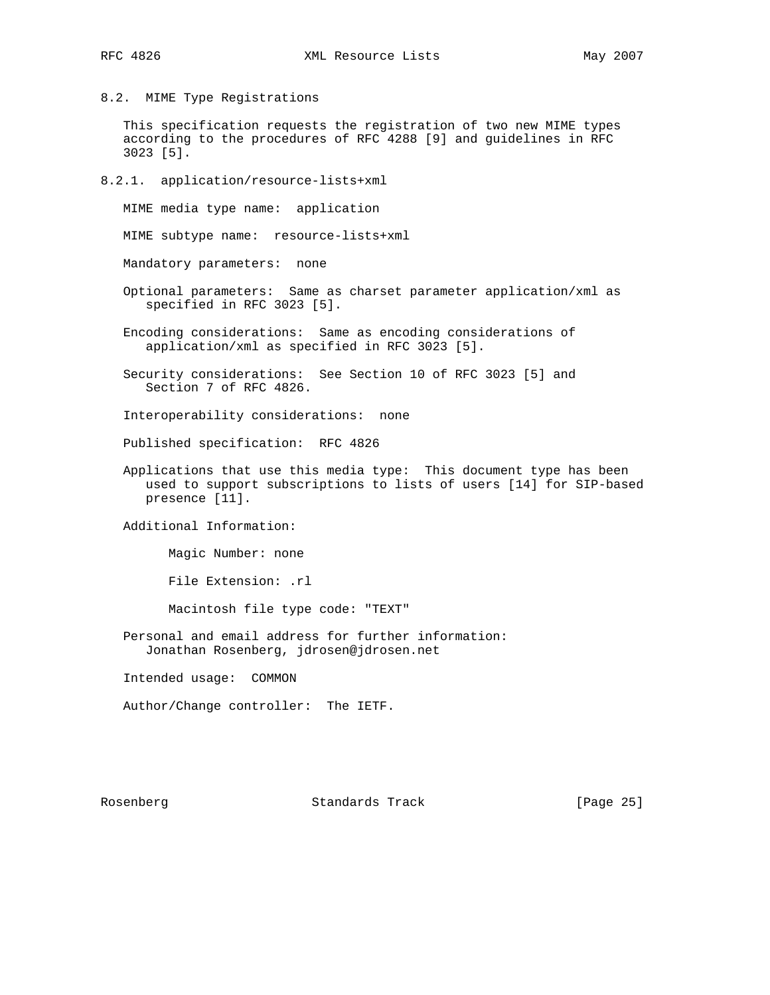8.2. MIME Type Registrations

 This specification requests the registration of two new MIME types according to the procedures of RFC 4288 [9] and guidelines in RFC 3023 [5].

8.2.1. application/resource-lists+xml

MIME media type name: application

MIME subtype name: resource-lists+xml

Mandatory parameters: none

- Optional parameters: Same as charset parameter application/xml as specified in RFC 3023 [5].
- Encoding considerations: Same as encoding considerations of application/xml as specified in RFC 3023 [5].

 Security considerations: See Section 10 of RFC 3023 [5] and Section 7 of RFC 4826.

Interoperability considerations: none

Published specification: RFC 4826

 Applications that use this media type: This document type has been used to support subscriptions to lists of users [14] for SIP-based presence [11].

Additional Information:

Magic Number: none

File Extension: .rl

Macintosh file type code: "TEXT"

 Personal and email address for further information: Jonathan Rosenberg, jdrosen@jdrosen.net

Intended usage: COMMON

Author/Change controller: The IETF.

Rosenberg Standards Track [Page 25]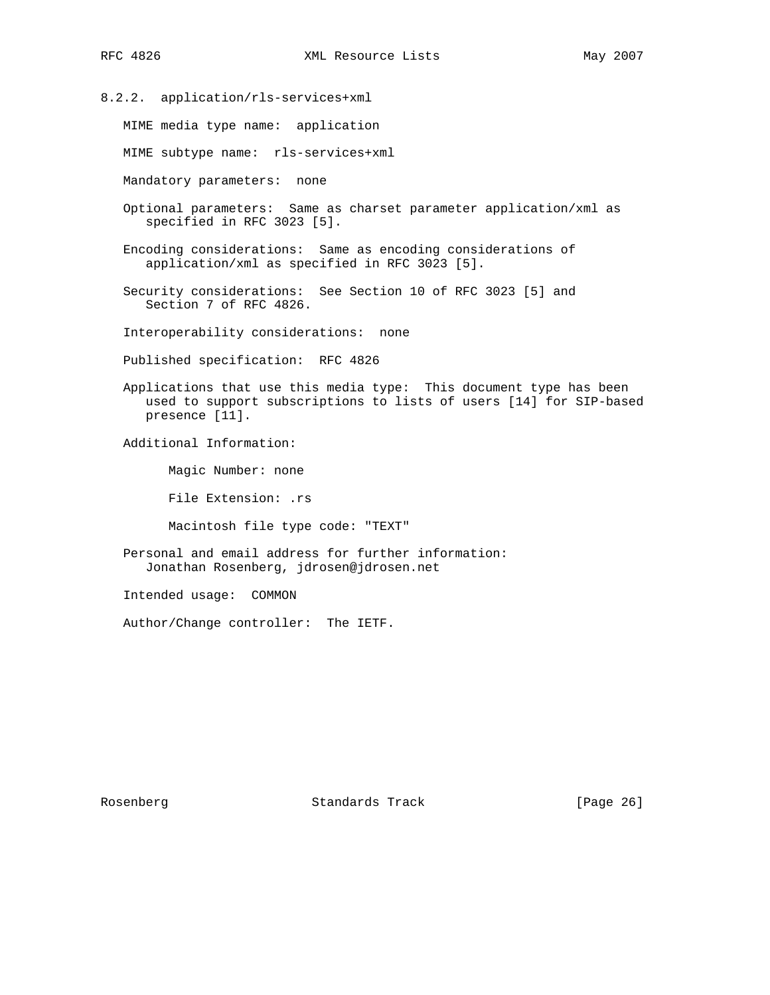8.2.2. application/rls-services+xml MIME media type name: application MIME subtype name: rls-services+xml Mandatory parameters: none Optional parameters: Same as charset parameter application/xml as specified in RFC 3023 [5]. Encoding considerations: Same as encoding considerations of application/xml as specified in RFC 3023 [5]. Security considerations: See Section 10 of RFC 3023 [5] and Section 7 of RFC 4826. Interoperability considerations: none Published specification: RFC 4826 Applications that use this media type: This document type has been used to support subscriptions to lists of users [14] for SIP-based presence [11]. Additional Information: Magic Number: none File Extension: .rs Macintosh file type code: "TEXT" Personal and email address for further information: Jonathan Rosenberg, jdrosen@jdrosen.net Intended usage: COMMON

Author/Change controller: The IETF.

Rosenberg Standards Track [Page 26]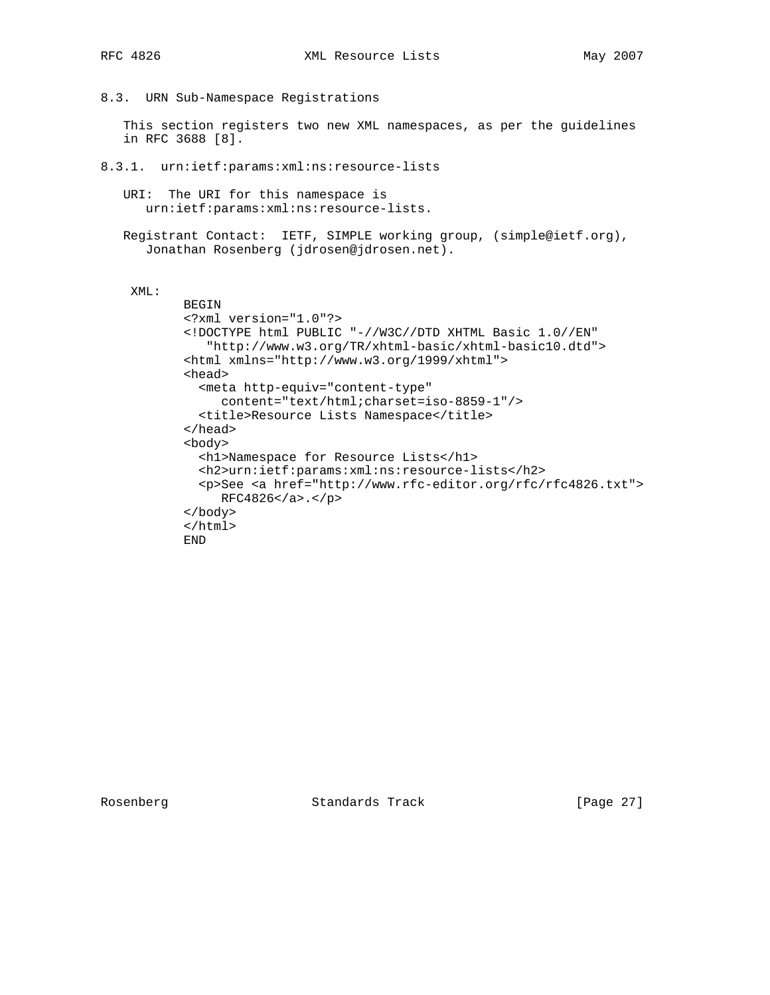8.3. URN Sub-Namespace Registrations

 This section registers two new XML namespaces, as per the guidelines in RFC 3688 [8].

8.3.1. urn:ietf:params:xml:ns:resource-lists

 URI: The URI for this namespace is urn:ietf:params:xml:ns:resource-lists.

 Registrant Contact: IETF, SIMPLE working group, (simple@ietf.org), Jonathan Rosenberg (jdrosen@jdrosen.net).

#### XML:

```
 BEGIN
<?xml version="1.0"?>
<!DOCTYPE html PUBLIC "-//W3C//DTD XHTML Basic 1.0//EN"
   "http://www.w3.org/TR/xhtml-basic/xhtml-basic10.dtd">
<html xmlns="http://www.w3.org/1999/xhtml">
<head>
  <meta http-equiv="content-type"
     content="text/html;charset=iso-8859-1"/>
  <title>Resource Lists Namespace</title>
</head>
<body>
  <h1>Namespace for Resource Lists</h1>
  <h2>urn:ietf:params:xml:ns:resource-lists</h2>
  <p>See <a href="http://www.rfc-editor.org/rfc/rfc4826.txt">
     RFC4826</a>.</p>
</body>
</html>
END
```
Rosenberg Standards Track [Page 27]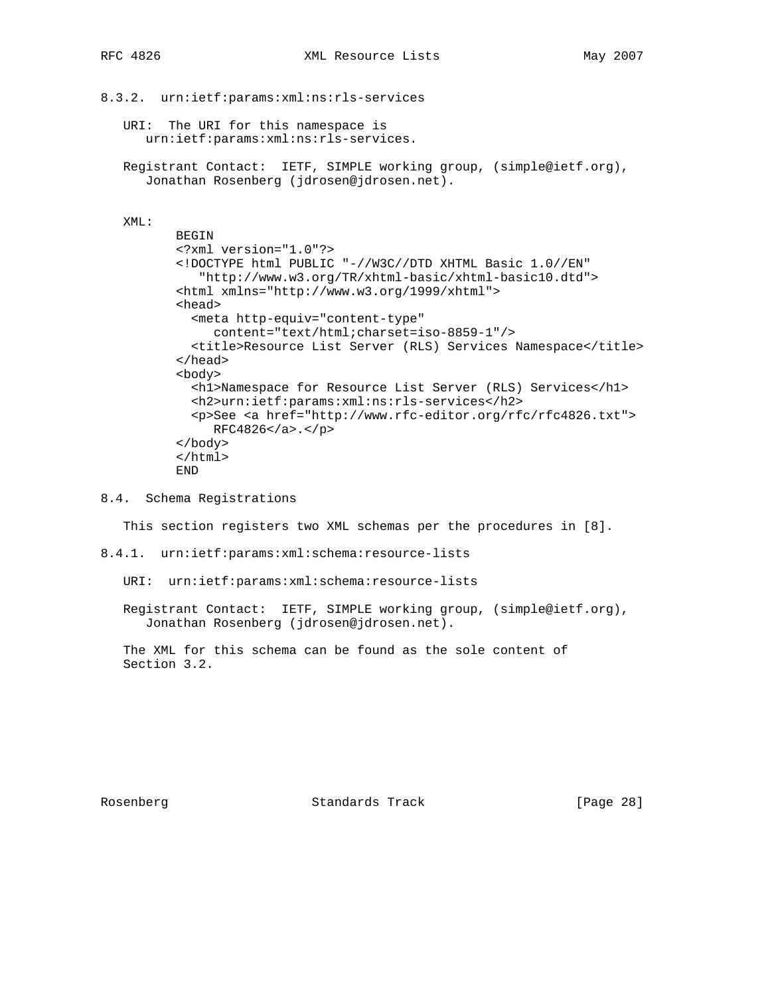```
8.3.2. urn:ietf:params:xml:ns:rls-services
```
 URI: The URI for this namespace is urn:ietf:params:xml:ns:rls-services.

 Registrant Contact: IETF, SIMPLE working group, (simple@ietf.org), Jonathan Rosenberg (jdrosen@jdrosen.net).

### XML:

```
 BEGIN
<?xml version="1.0"?>
<!DOCTYPE html PUBLIC "-//W3C//DTD XHTML Basic 1.0//EN"
   "http://www.w3.org/TR/xhtml-basic/xhtml-basic10.dtd">
<html xmlns="http://www.w3.org/1999/xhtml">
<head>
  <meta http-equiv="content-type"
     content="text/html;charset=iso-8859-1"/>
  <title>Resource List Server (RLS) Services Namespace</title>
</head>
<body>
  <h1>Namespace for Resource List Server (RLS) Services</h1>
  <h2>urn:ietf:params:xml:ns:rls-services</h2>
  <p>See <a href="http://www.rfc-editor.org/rfc/rfc4826.txt">
     RFC4826</a>.</p>
</body>
</html>
END
```
8.4. Schema Registrations

This section registers two XML schemas per the procedures in [8].

8.4.1. urn:ietf:params:xml:schema:resource-lists

URI: urn:ietf:params:xml:schema:resource-lists

 Registrant Contact: IETF, SIMPLE working group, (simple@ietf.org), Jonathan Rosenberg (jdrosen@jdrosen.net).

 The XML for this schema can be found as the sole content of Section 3.2.

Rosenberg Standards Track [Page 28]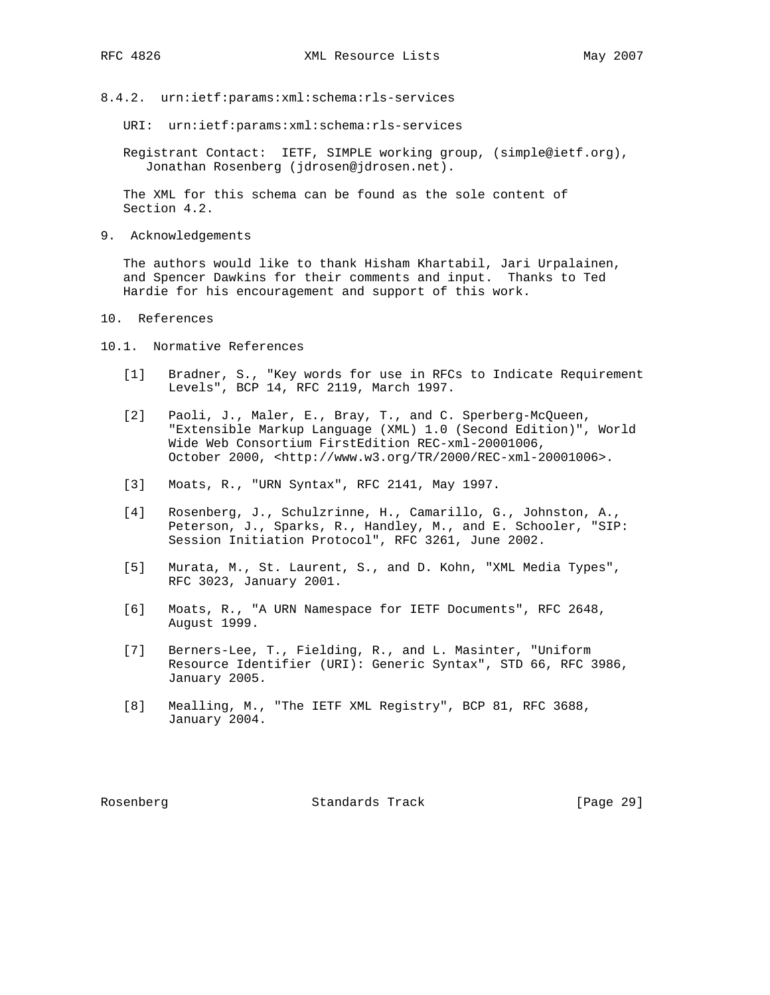- 
- 8.4.2. urn:ietf:params:xml:schema:rls-services
	- URI: urn:ietf:params:xml:schema:rls-services

 Registrant Contact: IETF, SIMPLE working group, (simple@ietf.org), Jonathan Rosenberg (jdrosen@jdrosen.net).

 The XML for this schema can be found as the sole content of Section 4.2.

9. Acknowledgements

 The authors would like to thank Hisham Khartabil, Jari Urpalainen, and Spencer Dawkins for their comments and input. Thanks to Ted Hardie for his encouragement and support of this work.

- 10. References
- 10.1. Normative References
	- [1] Bradner, S., "Key words for use in RFCs to Indicate Requirement Levels", BCP 14, RFC 2119, March 1997.
	- [2] Paoli, J., Maler, E., Bray, T., and C. Sperberg-McQueen, "Extensible Markup Language (XML) 1.0 (Second Edition)", World Wide Web Consortium FirstEdition REC-xml-20001006, October 2000, <http://www.w3.org/TR/2000/REC-xml-20001006>.
	- [3] Moats, R., "URN Syntax", RFC 2141, May 1997.
	- [4] Rosenberg, J., Schulzrinne, H., Camarillo, G., Johnston, A., Peterson, J., Sparks, R., Handley, M., and E. Schooler, "SIP: Session Initiation Protocol", RFC 3261, June 2002.
	- [5] Murata, M., St. Laurent, S., and D. Kohn, "XML Media Types", RFC 3023, January 2001.
	- [6] Moats, R., "A URN Namespace for IETF Documents", RFC 2648, August 1999.
	- [7] Berners-Lee, T., Fielding, R., and L. Masinter, "Uniform Resource Identifier (URI): Generic Syntax", STD 66, RFC 3986, January 2005.
	- [8] Mealling, M., "The IETF XML Registry", BCP 81, RFC 3688, January 2004.

Rosenberg Standards Track [Page 29]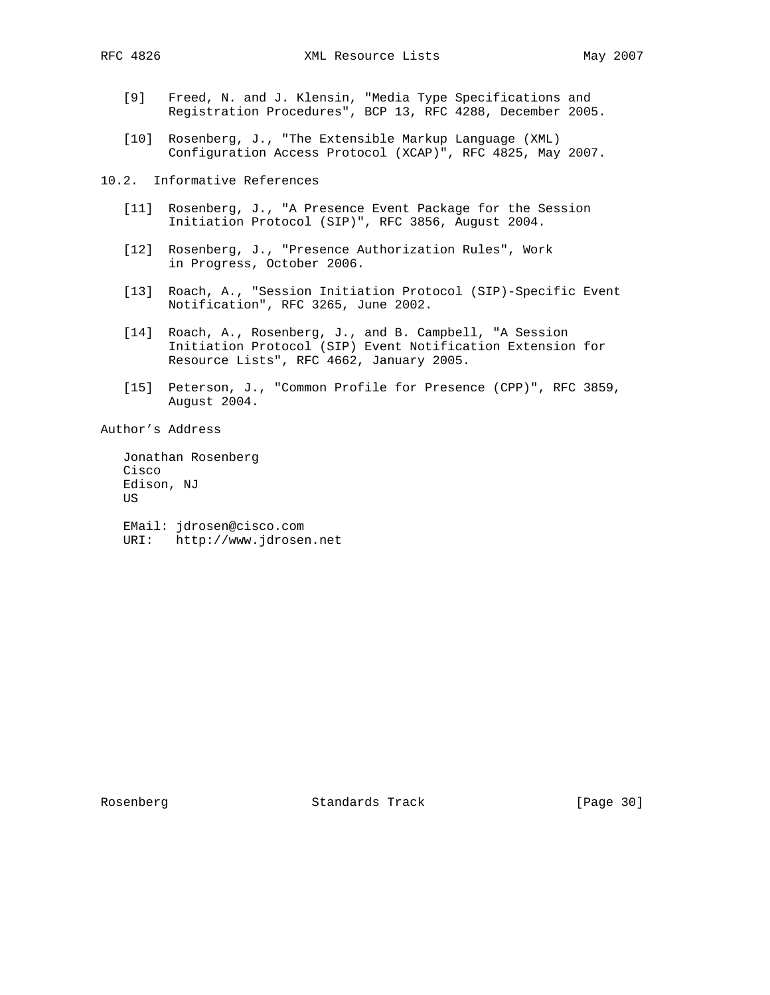- [9] Freed, N. and J. Klensin, "Media Type Specifications and Registration Procedures", BCP 13, RFC 4288, December 2005.
- [10] Rosenberg, J., "The Extensible Markup Language (XML) Configuration Access Protocol (XCAP)", RFC 4825, May 2007.

10.2. Informative References

- [11] Rosenberg, J., "A Presence Event Package for the Session Initiation Protocol (SIP)", RFC 3856, August 2004.
- [12] Rosenberg, J., "Presence Authorization Rules", Work in Progress, October 2006.
- [13] Roach, A., "Session Initiation Protocol (SIP)-Specific Event Notification", RFC 3265, June 2002.
- [14] Roach, A., Rosenberg, J., and B. Campbell, "A Session Initiation Protocol (SIP) Event Notification Extension for Resource Lists", RFC 4662, January 2005.
- [15] Peterson, J., "Common Profile for Presence (CPP)", RFC 3859, August 2004.

Author's Address

 Jonathan Rosenberg Cisco Edison, NJ US EMail: jdrosen@cisco.com

URI: http://www.jdrosen.net

Rosenberg Standards Track [Page 30]